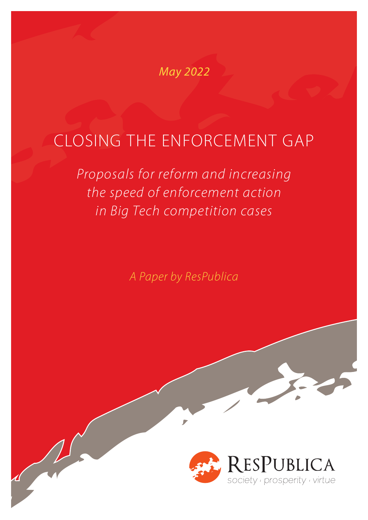### May 2022

# CLOSING THE ENFORCEMENT GAP

*Proposals for reform and increasing the speed of enforcement action in Big Tech competition cases*

*A Paper by ResPublica*

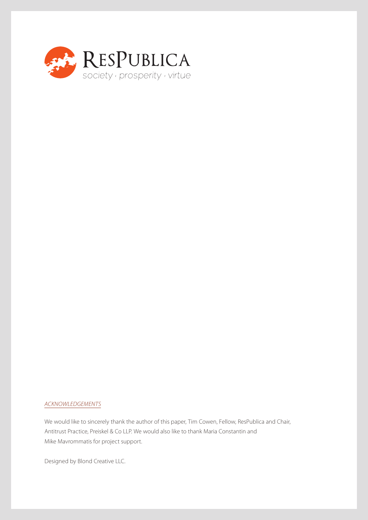

#### *ACKNOWLEDGEMENTS*

We would like to sincerely thank the author of this paper, Tim Cowen, Fellow, ResPublica and Chair, Antitrust Practice, Preiskel & Co LLP. We would also like to thank Maria Constantin and Mike Mavrommatis for project support.

Designed by Blond Creative LLC.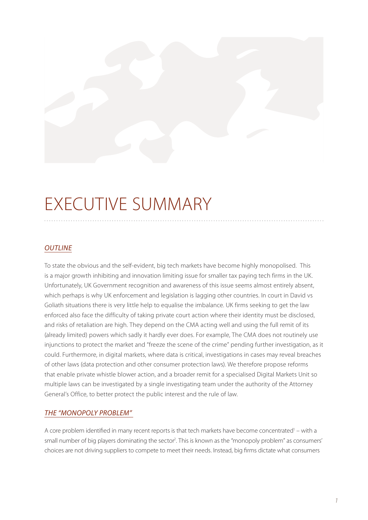# EXECUTIVE SUMMARY

#### *OUTLINE*

To state the obvious and the self-evident, big tech markets have become highly monopolised. This is a major growth inhibiting and innovation limiting issue for smaller tax paying tech firms in the UK. Unfortunately, UK Government recognition and awareness of this issue seems almost entirely absent, which perhaps is why UK enforcement and legislation is lagging other countries. In court in David vs Goliath situations there is very little help to equalise the imbalance. UK firms seeking to get the law enforced also face the difficulty of taking private court action where their identity must be disclosed, and risks of retaliation are high. They depend on the CMA acting well and using the full remit of its (already limited) powers which sadly it hardly ever does. For example, The CMA does not routinely use injunctions to protect the market and "freeze the scene of the crime" pending further investigation, as it could. Furthermore, in digital markets, where data is critical, investigations in cases may reveal breaches of other laws (data protection and other consumer protection laws). We therefore propose reforms that enable private whistle blower action, and a broader remit for a specialised Digital Markets Unit so multiple laws can be investigated by a single investigating team under the authority of the Attorney General's Office, to better protect the public interest and the rule of law.

#### *THE "MONOPOLY PROBLEM"*

A core problem identified in many recent reports is that tech markets have become concentrated<sup>1</sup> – with a small number of big players dominating the sector<sup>2</sup>. This is known as the "monopoly problem" as consumers' choices are not driving suppliers to compete to meet their needs. Instead, big firms dictate what consumers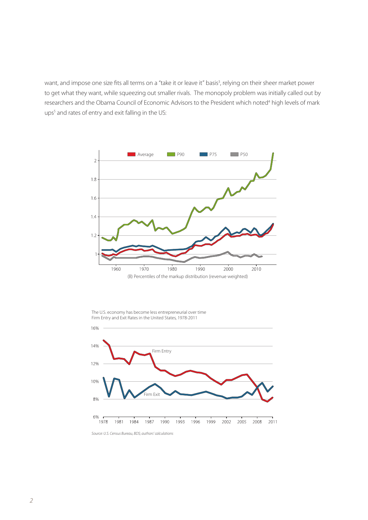want, and impose one size fits all terms on a "take it or leave it" basis<sup>3</sup>, relying on their sheer market power to get what they want, while squeezing out smaller rivals. The monopoly problem was initially called out by researchers and the Obama Council of Economic Advisors to the President which noted<sup>4</sup> high levels of mark ups<sup>5</sup> and rates of entry and exit falling in the US:



The U.S. economy has become less entrepreneurial over time Firm Entry and Exit Rates in the United States, 1978-2011



*Source: U.S. Census Bureau, BDS; authors' calculations*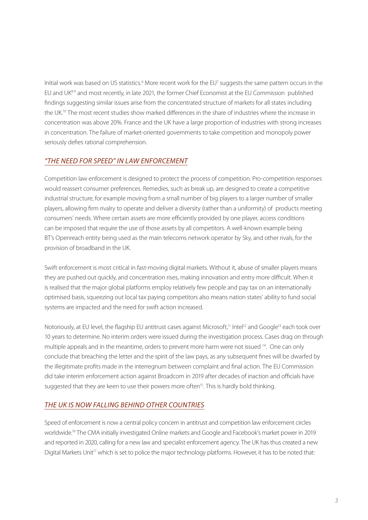Initial work was based on US statistics.<sup>6</sup> More recent work for the EU<sup>7</sup> suggests the same pattern occurs in the EU and UK<sup>89</sup> and most recently, in late 2021, the former Chief Economist at the EU Commission published findings suggesting similar issues arise from the concentrated structure of markets for all states including the UK.10 The most recent studies show marked differences in the share of industries where the increase in concentration was above 20%. France and the UK have a large proportion of industries with strong increases in concentration. The failure of market-oriented governments to take competition and monopoly power seriously defies rational comprehension.

#### *"THE NEED FOR SPEED" IN LAW ENFORCEMENT*

Competition law enforcement is designed to protect the process of competition. Pro-competition responses would reassert consumer preferences. Remedies, such as break up, are designed to create a competitive industrial structure, for example moving from a small number of big players to a larger number of smaller players, allowing firm rivalry to operate and deliver a diversity (rather than a uniformity) of products meeting consumers' needs. Where certain assets are more efficiently provided by one player, access conditions can be imposed that require the use of those assets by all competitors. A well-known example being BT's Openreach entity being used as the main telecoms network operator by Sky, and other rivals, for the provision of broadband in the UK.

Swift enforcement is most critical in fast-moving digital markets. Without it, abuse of smaller players means they are pushed out quickly, and concentration rises, making innovation and entry more difficult. When it is realised that the major global platforms employ relatively few people and pay tax on an internationally optimised basis, squeezing out local tax paying competitors also means nation states' ability to fund social systems are impacted and the need for swift action increased.

Notoriously, at EU level, the flagship EU antitrust cases against Microsoft,<sup>11</sup> Intel<sup>12</sup> and Google<sup>13</sup> each took over 10 years to determine. No interim orders were issued during the investigation process. Cases drag on through multiple appeals and in the meantime, orders to prevent more harm were not issued <sup>14</sup>. One can only conclude that breaching the letter and the spirit of the law pays, as any subsequent fines will be dwarfed by the illegitimate profits made in the interregnum between complaint and final action. The EU Commission did take interim enforcement action against Broadcom in 2019 after decades of inaction and officials have suggested that they are keen to use their powers more often<sup>15</sup>. This is hardly bold thinking.

#### *THE UK IS NOW FALLING BEHIND OTHER COUNTRIES*

Speed of enforcement is now a central policy concern in antitrust and competition law enforcement circles worldwide.16 The CMA initially investigated Online markets and Google and Facebook's market power in 2019 and reported in 2020, calling for a new law and specialist enforcement agency. The UK has thus created a new Digital Markets Unit<sup>17</sup> which is set to police the major technology platforms. However, it has to be noted that: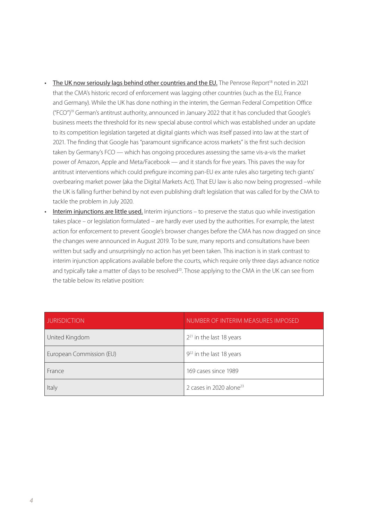- The UK now seriously lags behind other countries and the EU. The Penrose Report<sup>18</sup> noted in 2021 that the CMA's historic record of enforcement was lagging other countries (such as the EU, France and Germany). While the UK has done nothing in the interim, the German Federal Competition Office ("FCO")19 German's antitrust authority, announced in January 2022 that it has concluded that Google's business meets the threshold for its new special abuse control which was established under an update to its competition legislation targeted at digital giants which was itself passed into law at the start of 2021. The finding that Google has "paramount significance across markets" is the first such decision taken by Germany's FCO — which has ongoing procedures assessing the same vis-a-vis the market power of Amazon, Apple and Meta/Facebook — and it stands for five years. This paves the way for antitrust interventions which could prefigure incoming pan-EU ex ante rules also targeting tech giants' overbearing market power (aka the Digital Markets Act). That EU law is also now being progressed –while the UK is falling further behind by not even publishing draft legislation that was called for by the CMA to tackle the problem in July 2020.
- Interim injunctions are little used. Interim injunctions to preserve the status quo while investigation takes place – or legislation formulated – are hardly ever used by the authorities. For example, the latest action for enforcement to prevent Google's browser changes before the CMA has now dragged on since the changes were announced in August 2019. To be sure, many reports and consultations have been written but sadly and unsurprisingly no action has yet been taken. This inaction is in stark contrast to interim injunction applications available before the courts, which require only three days advance notice and typically take a matter of days to be resolved<sup>20</sup>. Those applying to the CMA in the UK can see from the table below its relative position:

| <b>JURISDICTION</b>      | NUMBER OF INTERIM MEASURES IMPOSED  |
|--------------------------|-------------------------------------|
| United Kingdom           | $2^{21}$ in the last 18 years       |
| European Commission (EU) | $9^{22}$ in the last 18 years       |
| France                   | 169 cases since 1989                |
| Italy                    | 2 cases in 2020 alone <sup>23</sup> |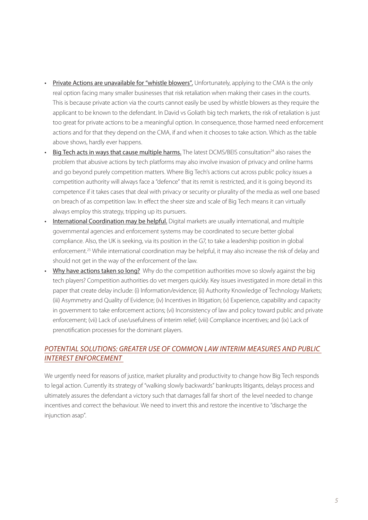- Private Actions are unavailable for "whistle blowers". Unfortunately, applying to the CMA is the only real option facing many smaller businesses that risk retaliation when making their cases in the courts. This is because private action via the courts cannot easily be used by whistle blowers as they require the applicant to be known to the defendant. In David vs Goliath big tech markets, the risk of retaliation is just too great for private actions to be a meaningful option. In consequence, those harmed need enforcement actions and for that they depend on the CMA, if and when it chooses to take action. Which as the table above shows, hardly ever happens.
- Big Tech acts in ways that cause multiple harms. The latest DCMS/BEIS consultation<sup>24</sup> also raises the problem that abusive actions by tech platforms may also involve invasion of privacy and online harms and go beyond purely competition matters. Where Big Tech's actions cut across public policy issues a competition authority will always face a "defence" that its remit is restricted, and it is going beyond its competence if it takes cases that deal with privacy or security or plurality of the media as well one based on breach of as competition law. In effect the sheer size and scale of Big Tech means it can virtually always employ this strategy, tripping up its pursuers.
- International Coordination may be helpful. Digital markets are usually international, and multiple governmental agencies and enforcement systems may be coordinated to secure better global compliance. Also, the UK is seeking, via its position in the G7, to take a leadership position in global enforcement.<sup>25</sup> While international coordination may be helpful, it may also increase the risk of delay and should not get in the way of the enforcement of the law.
- Why have actions taken so long? Why do the competition authorities move so slowly against the big tech players? Competition authorities do vet mergers quickly. Key issues investigated in more detail in this paper that create delay include: (i) Information/evidence; (ii) Authority Knowledge of Technology Markets; (iii) Asymmetry and Quality of Evidence; (iv) Incentives in litigation; (v) Experience, capability and capacity in government to take enforcement actions; (vi) Inconsistency of law and policy toward public and private enforcement; (vii) Lack of use/usefulness of interim relief; (viii) Compliance incentives; and (ix) Lack of prenotification processes for the dominant players.

#### *POTENTIAL SOLUTIONS: GREATER USE OF COMMON LAW INTERIM MEASURES AND PUBLIC INTEREST ENFORCEMENT*

We urgently need for reasons of justice, market plurality and productivity to change how Big Tech responds to legal action. Currently its strategy of "walking slowly backwards" bankrupts litigants, delays process and ultimately assures the defendant a victory such that damages fall far short of the level needed to change incentives and correct the behaviour. We need to invert this and restore the incentive to "discharge the injunction asap".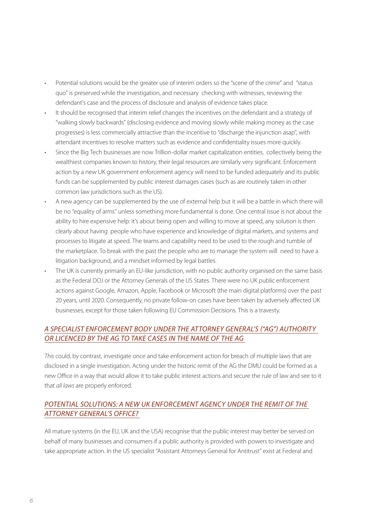- Potential solutions would be the greater use of interim orders so the "scene of the crime" and "status quo" is preserved while the investigation, and necessary checking with witnesses, reviewing the defendant's case and the process of disclosure and analysis of evidence takes place.
- It should be recognised that interim relief changes the incentives on the defendant and a strategy of "walking slowly backwards" (disclosing evidence and moving slowly while making money as the case progresses) is less commercially attractive than the incentive to "discharge the injunction asap", with attendant incentives to resolve matters such as evidence and confidentiality issues more quickly.
- Since the Big Tech businesses are now Trillion-dollar market capitalization entities, collectively being the wealthiest companies known to history, their legal resources are similarly very significant. Enforcement action by a new UK government enforcement agency will need to be funded adequately and its public funds can be supplemented by public interest damages cases (such as are routinely taken in other common law jurisdictions such as the US).
- A new agency can be supplemented by the use of external help but it will be a battle in which there will be no "equality of arms" unless something more fundamental is done. One central issue is not about the ability to hire expensive help: it's about being open and willing to move at speed, any solution is then clearly about having people who have experience and knowledge of digital markets, and systems and processes to litigate at speed. The teams and capability need to be used to the rough and tumble of the marketplace. To break with the past the people who are to manage the system will need to have a litigation background, and a mindset informed by legal battles.
- The UK is currently primarily an EU-like jurisdiction, with no public authority organised on the same basis as the Federal DOJ or the Attorney Generals of the US States. There were no UK public enforcement actions against Google, Amazon, Apple, Facebook or Microsoft (the main digital platforms) over the past 20 years, until 2020. Consequently, no private follow-on cases have been taken by adversely affected UK businesses, except for those taken following EU Commission Decisions. This is a travesty.

#### *A SPECIALIST ENFORCEMENT BODY UNDER THE ATTORNEY GENERAL'S ("AG") AUTHORITY OR LICENCED BY THE AG TO TAKE CASES IN THE NAME OF THE AG*

*This* could, by contrast, investigate once and take enforcement action for breach of multiple laws that are disclosed in a single investigation. Acting under the historic remit of the AG the DMU could be formed as a new Office in a way that would allow it to take public interest actions and secure the rule of law and see to it that *all laws* are properly enforced.

#### *POTENTIAL SOLUTIONS: A NEW UK ENFORCEMENT AGENCY UNDER THE REMIT OF THE ATTORNEY GENERAL'S OFFICE?*

All mature systems (in the EU, UK and the USA) recognise that the public interest may better be served on behalf of many businesses and consumers if a public authority is provided with powers to investigate and take appropriate action. In the US specialist "Assistant Attorneys General for Antitrust" exist at Federal and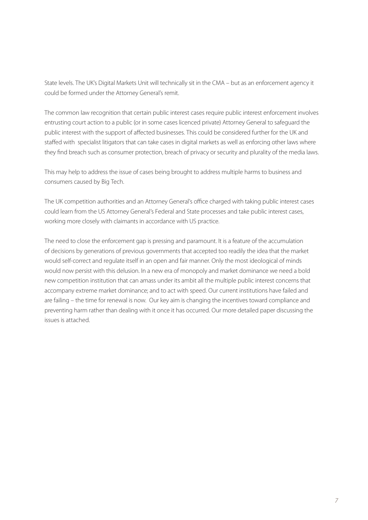State levels. The UK's Digital Markets Unit will technically sit in the CMA – but as an enforcement agency it could be formed under the Attorney General's remit.

The common law recognition that certain public interest cases require public interest enforcement involves entrusting court action to a public (or in some cases licenced private) Attorney General to safeguard the public interest with the support of affected businesses. This could be considered further for the UK and staffed with specialist litigators that can take cases in digital markets as well as enforcing other laws where they find breach such as consumer protection, breach of privacy or security and plurality of the media laws.

This may help to address the issue of cases being brought to address multiple harms to business and consumers caused by Big Tech.

The UK competition authorities and an Attorney General's office charged with taking public interest cases could learn from the US Attorney General's Federal and State processes and take public interest cases, working more closely with claimants in accordance with US practice.

The need to close the enforcement gap is pressing and paramount. It is a feature of the accumulation of decisions by generations of previous governments that accepted too readily the idea that the market would self-correct and regulate itself in an open and fair manner. Only the most ideological of minds would now persist with this delusion. In a new era of monopoly and market dominance we need a bold new competition institution that can amass under its ambit all the multiple public interest concerns that accompany extreme market dominance; and to act with speed. Our current institutions have failed and are failing – the time for renewal is now. Our key aim is changing the incentives toward compliance and preventing harm rather than dealing with it once it has occurred. Our more detailed paper discussing the issues is attached.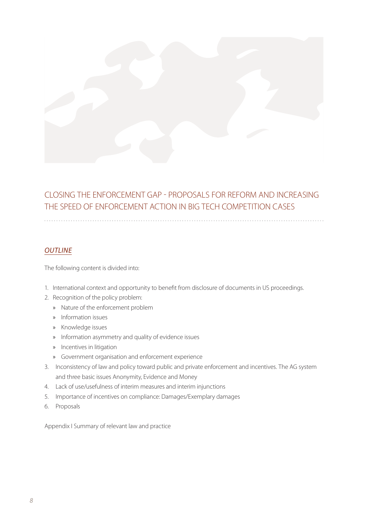

### CLOSING THE ENFORCEMENT GAP - PROPOSALS FOR REFORM AND INCREASING THE SPEED OF ENFORCEMENT ACTION IN BIG TECH COMPETITION CASES

#### *OUTLINE*

The following content is divided into:

- 1. International context and opportunity to benefit from disclosure of documents in US proceedings.
- 2. Recognition of the policy problem:
	- » Nature of the enforcement problem
	- » Information issues
	- » Knowledge issues
	- » Information asymmetry and quality of evidence issues
	- » Incentives in litigation
	- » Government organisation and enforcement experience
- 3. Inconsistency of law and policy toward public and private enforcement and incentives. The AG system and three basic issues Anonymity, Evidence and Money
- 4. Lack of use/usefulness of interim measures and interim injunctions
- 5. Importance of incentives on compliance: Damages/Exemplary damages
- 6. Proposals

Appendix I Summary of relevant law and practice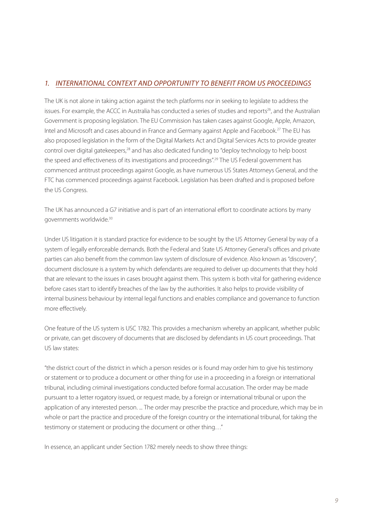#### *1. INTERNATIONAL CONTEXT AND OPPORTUNITY TO BENEFIT FROM US PROCEEDINGS*

The UK is not alone in taking action against the tech platforms nor in seeking to legislate to address the issues. For example, the ACCC in Australia has conducted a series of studies and reports<sup>26</sup>, and the Australian Government is proposing legislation. The EU Commission has taken cases against Google, Apple, Amazon, Intel and Microsoft and cases abound in France and Germany against Apple and Facebook.27 The EU has also proposed legislation in the form of the Digital Markets Act and Digital Services Acts to provide greater control over digital gatekeepers,<sup>28</sup> and has also dedicated funding to "deploy technology to help boost the speed and effectiveness of its investigations and proceedings".29 The US Federal government has commenced antitrust proceedings against Google, as have numerous US States Attorneys General, and the FTC has commenced proceedings against Facebook. Legislation has been drafted and is proposed before the US Congress.

The UK has announced a G7 initiative and is part of an international effort to coordinate actions by many governments worldwide.30

Under US litigation it is standard practice for evidence to be sought by the US Attorney General by way of a system of legally enforceable demands. Both the Federal and State US Attorney General's offices and private parties can also benefit from the common law system of disclosure of evidence. Also known as "discovery", document disclosure is a system by which defendants are required to deliver up documents that they hold that are relevant to the issues in cases brought against them. This system is both vital for gathering evidence before cases start to identify breaches of the law by the authorities. It also helps to provide visibility of internal business behaviour by internal legal functions and enables compliance and governance to function more effectively.

One feature of the US system is USC 1782. This provides a mechanism whereby an applicant, whether public or private, can get discovery of documents that are disclosed by defendants in US court proceedings. That US law states:

"the district court of the district in which a person resides or is found may order him to give his testimony or statement or to produce a document or other thing for use in a proceeding in a foreign or international tribunal, including criminal investigations conducted before formal accusation. The order may be made pursuant to a letter rogatory issued, or request made, by a foreign or international tribunal or upon the application of any interested person. ... The order may prescribe the practice and procedure, which may be in whole or part the practice and procedure of the foreign country or the international tribunal, for taking the testimony or statement or producing the document or other thing…"

In essence, an applicant under Section 1782 merely needs to show three things: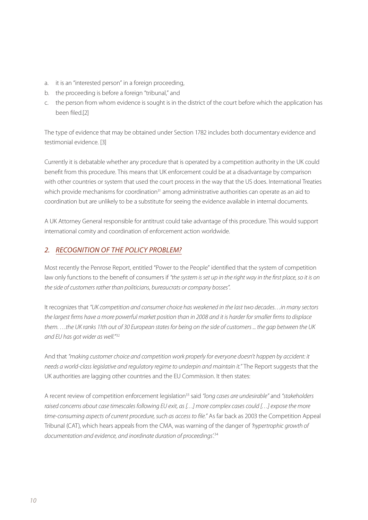- a. it is an "interested person" in a foreign proceeding,
- b. the proceeding is before a foreign "tribunal," and
- c. the person from whom evidence is sought is in the district of the court before which the application has been filed.[2]

The type of evidence that may be obtained under Section 1782 includes both documentary evidence and testimonial evidence. [3]

Currently it is debatable whether any procedure that is operated by a competition authority in the UK could benefit from this procedure. This means that UK enforcement could be at a disadvantage by comparison with other countries or system that used the court process in the way that the US does. International Treaties which provide mechanisms for coordination<sup>31</sup> among administrative authorities can operate as an aid to coordination but are unlikely to be a substitute for seeing the evidence available in internal documents.

A UK Attorney General responsible for antitrust could take advantage of this procedure. This would support international comity and coordination of enforcement action worldwide.

#### *2. RECOGNITION OF THE POLICY PROBLEM?*

Most recently the Penrose Report, entitled "Power to the People" identified that the system of competition law only functions to the benefit of consumers if *"the system is set up in the right way in the first place, so it is on the side of customers rather than politicians, bureaucrats or company bosses".* 

It recognizes that *"UK competition and consumer choice has weakened in the last two decades…in many sectors the largest firms have a more powerful market position than in 2008 and it is harder for smaller firms to displace them. …the UK ranks 11th out of 30 European states for being on the side of customers ... the gap between the UK and EU has got wider as well.*" 32

And that *"making customer choice and competition work properly for everyone doesn't happen by accident: it needs a world-class legislative and regulatory regime to underpin and maintain it."* The Report suggests that the UK authorities are lagging other countries and the EU Commission. It then states:

A recent review of competition enforcement legislation33 said *"long cases are undesirable"* and *"stakeholders raised concerns about case timescales following EU exit, as […] more complex cases could […] expose the more time-consuming aspects of current procedure, such as access to file."* As far back as 2003 the Competition Appeal Tribunal (CAT), which hears appeals from the CMA, was warning of the danger of *'hypertrophic growth of documentation and evidence, and inordinate duration of proceedings'.*34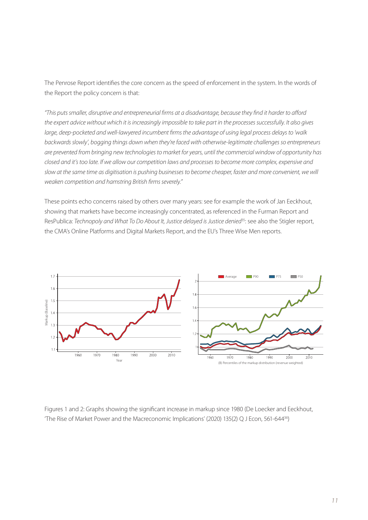The Penrose Report identifies the core concern as the speed of enforcement in the system. In the words of the Report the policy concern is that:

*"This puts smaller, disruptive and entrepreneurial firms at a disadvantage, because they find it harder to afford the expert advice without which it is increasingly impossible to take part in the processes successfully. It also gives large, deep-pocketed and well-lawyered incumbent firms the advantage of using legal process delays to 'walk backwards slowly', bogging things down when they're faced with otherwise-legitimate challenges so entrepreneurs are prevented from bringing new technologies to market for years, until the commercial window of opportunity has closed and it's too late. If we allow our competition laws and processes to become more complex, expensive and slow at the same time as digitisation is pushing businesses to become cheaper, faster and more convenient, we will weaken competition and hamstring British firms severely."*

These points echo concerns raised by others over many years: see for example the work of Jan Eeckhout, showing that markets have become increasingly concentrated, as referenced in the Furman Report and ResPublica: *Technopoly and What To Do About It, Justice delayed is Justice denied*<sup>35</sup>: see also the Stigler report, the CMA's Online Platforms and Digital Markets Report, and the EU's Three Wise Men reports.



Figures 1 and 2: Graphs showing the significant increase in markup since 1980 (De Loecker and Eeckhout,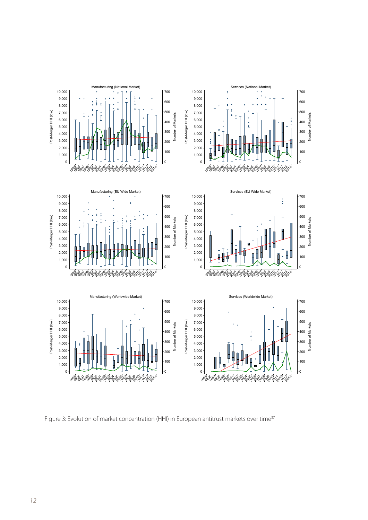

Figure 3: Evolution of market concentration (HHI) in European antitrust markets over time<sup>37</sup>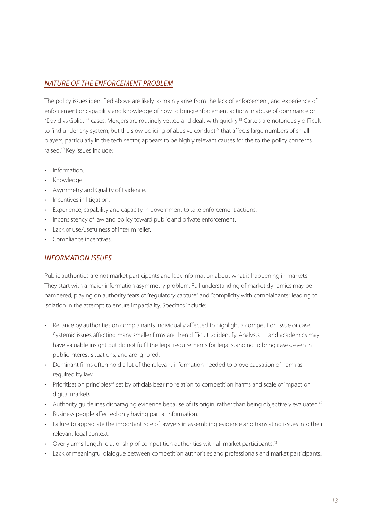#### *NATURE OF THE ENFORCEMENT PROBLEM*

The policy issues identified above are likely to mainly arise from the lack of enforcement, and experience of enforcement or capability and knowledge of how to bring enforcement actions in abuse of dominance or "David vs Goliath" cases. Mergers are routinely vetted and dealt with quickly.38 Cartels are notoriously difficult to find under any system, but the slow policing of abusive conduct<sup>39</sup> that affects large numbers of small players, particularly in the tech sector, appears to be highly relevant causes for the to the policy concerns raised.40 Key issues include:

- Information.
- Knowledge.
- Asymmetry and Quality of Evidence.
- Incentives in litigation.
- Experience, capability and capacity in government to take enforcement actions.
- Inconsistency of law and policy toward public and private enforcement.
- Lack of use/usefulness of interim relief.
- Compliance incentives.

#### *INFORMATION ISSUES*

Public authorities are not market participants and lack information about what is happening in markets. They start with a major information asymmetry problem. Full understanding of market dynamics may be hampered, playing on authority fears of "regulatory capture" and "complicity with complainants" leading to isolation in the attempt to ensure impartiality. Specifics include:

- Reliance by authorities on complainants individually affected to highlight a competition issue or case. Systemic issues affecting many smaller firms are then difficult to identify. Analysts and academics may have valuable insight but do not fulfil the legal requirements for legal standing to bring cases, even in public interest situations, and are ignored.
- Dominant firms often hold a lot of the relevant information needed to prove causation of harm as required by law.
- Prioritisation principles<sup>41</sup> set by officials bear no relation to competition harms and scale of impact on digital markets.
- Authority guidelines disparaging evidence because of its origin, rather than being objectively evaluated.<sup>42</sup>
- Business people affected only having partial information.
- Failure to appreciate the important role of lawyers in assembling evidence and translating issues into their relevant legal context.
- Overly arms-length relationship of competition authorities with all market participants.<sup>43</sup>
- Lack of meaningful dialogue between competition authorities and professionals and market participants.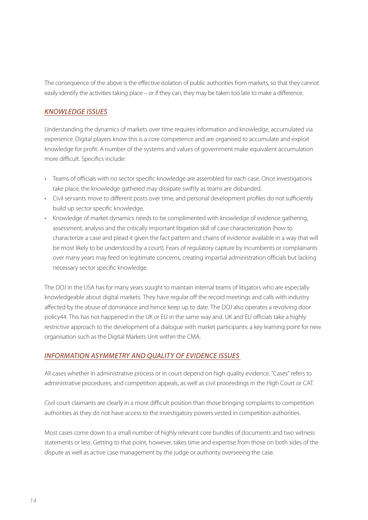The consequence of the above is the effective isolation of public authorities from markets, so that they cannot easily identify the activities taking place – or if they can, they may be taken too late to make a difference.

#### *KNOWLEDGE ISSUES*

Understanding the dynamics of markets over time requires information and knowledge, accumulated via experience. Digital players know this is a core competence and are organised to accumulate and exploit knowledge for profit. A number of the systems and values of government make equivalent accumulation more difficult. Specifics include:

- Teams of officials with no sector specific knowledge are assembled for each case. Once investigations take place, the knowledge gathered may dissipate swiftly as teams are disbanded.
- Civil servants move to different posts over time, and personal development profiles do not sufficiently build up sector specific knowledge.
- Knowledge of market dynamics needs to be complimented with knowledge of evidence gathering, assessment, analysis and the critically important litigation skill of case characterization (how to characterize a case and plead it given the fact pattern and chains of evidence available in a way that will be most likely to be understood by a court). Fears of regulatory capture by incumbents or complainants over many years may feed on legitimate concerns, creating impartial administration officials but lacking necessary sector specific knowledge.

The DOJ in the USA has for many years sought to maintain internal teams of litigators who are especially knowledgeable about digital markets. They have regular off the record meetings and calls with industry affected by the abuse of dominance and hence keep up to date. The DOJ also operates a revolving door policy44. This has not happened in the UK or EU in the same way and. UK and EU officials take a highly restrictive approach to the development of a dialogue with market participants: a key learning point for new organisation such as the Digital Markets Unit within the CMA.

#### *INFORMATION ASYMMETRY AND QUALITY OF EVIDENCE ISSUES*

All cases whether in administrative process or in court depend on high quality evidence. "Cases" refers to administrative procedures, and competition appeals, as well as civil proceedings in the High Court or CAT.

Civil court claimants are clearly in a more difficult position than those bringing complaints to competition authorities as they do not have access to the investigatory powers vested in competition authorities.

Most cases come down to a small number of highly relevant core bundles of documents and two witness statements or less. Getting to that point, however, takes time and expertise from those on both sides of the dispute as well as active case management by the judge or authority overseeing the case.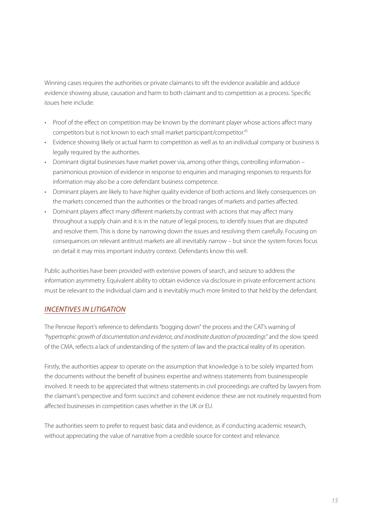Winning cases requires the authorities or private claimants to sift the evidence available and adduce evidence showing abuse, causation and harm to both claimant and to competition as a process. Specific issues here include:

- Proof of the effect on competition may be known by the dominant player whose actions affect many competitors but is not known to each small market participant/competitor.45
- Evidence showing likely or actual harm to competition as well as to an individual company or business is legally required by the authorities.
- Dominant digital businesses have market power via, among other things, controlling information parsimonious provision of evidence in response to enquiries and managing responses to requests for information may also be a core defendant business competence.
- Dominant players are likely to have higher quality evidence of both actions and likely consequences on the markets concerned than the authorities or the broad ranges of markets and parties affected.
- Dominant players affect many different markets.by contrast with actions that may affect many throughout a supply chain and it is in the nature of legal process, to identify issues that are disputed and resolve them. This is done by narrowing down the issues and resolving them carefully. Focusing on consequences on relevant antitrust markets are all inevitably narrow – but since the system forces focus on detail it may miss important industry context. Defendants know this well.

Public authorities have been provided with extensive powers of search, and seizure to address the information asymmetry. Equivalent ability to obtain evidence via disclosure in private enforcement actions must be relevant to the individual claim and is inevitably much more limited to that held by the defendant.

#### *INCENTIVES IN LITIGATION*

The Penrose Report's reference to defendants "bogging down" the process and the CAT's warning of *"hypertrophic growth of documentation and evidence, and inordinate duration of proceedings"* and the slow speed of the CMA, reflects a lack of understanding of the system of law and the practical reality of its operation.

Firstly, the authorities appear to operate on the assumption that knowledge is to be solely imparted from the documents without the benefit of business expertise and witness statements from businesspeople involved. It needs to be appreciated that witness statements in civil proceedings are crafted by lawyers from the claimant's perspective and form succinct and coherent evidence: these are not routinely requested from affected businesses in competition cases whether in the UK or EU.

The authorities seem to prefer to request basic data and evidence, as if conducting academic research, without appreciating the value of narrative from a credible source for context and relevance.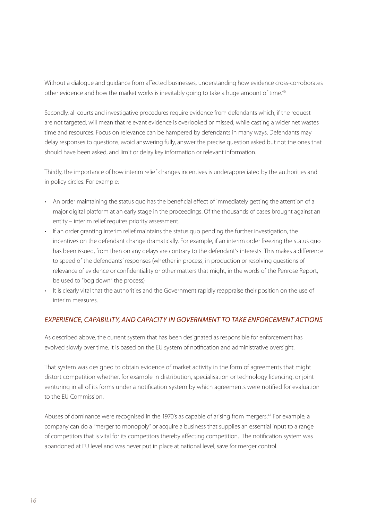Without a dialogue and guidance from affected businesses, understanding how evidence cross-corroborates other evidence and how the market works is inevitably going to take a huge amount of time.<sup>46</sup>

Secondly, all courts and investigative procedures require evidence from defendants which, if the request are not targeted, will mean that relevant evidence is overlooked or missed, while casting a wider net wastes time and resources. Focus on relevance can be hampered by defendants in many ways. Defendants may delay responses to questions, avoid answering fully, answer the precise question asked but not the ones that should have been asked, and limit or delay key information or relevant information.

Thirdly, the importance of how interim relief changes incentives is underappreciated by the authorities and in policy circles. For example:

- An order maintaining the status quo has the beneficial effect of immediately getting the attention of a major digital platform at an early stage in the proceedings. Of the thousands of cases brought against an entity – interim relief requires priority assessment.
- If an order granting interim relief maintains the status quo pending the further investigation, the incentives on the defendant change dramatically. For example, if an interim order freezing the status quo has been issued, from then on any delays are contrary to the defendant's interests. This makes a difference to speed of the defendants' responses (whether in process, in production or resolving questions of relevance of evidence or confidentiality or other matters that might, in the words of the Penrose Report, be used to "bog down" the process)
- It is clearly vital that the authorities and the Government rapidly reappraise their position on the use of interim measures.

#### *EXPERIENCE, CAPABILITY, AND CAPACITY IN GOVERNMENT TO TAKE ENFORCEMENT ACTIONS*

As described above, the current system that has been designated as responsible for enforcement has evolved slowly over time. It is based on the EU system of notification and administrative oversight.

That system was designed to obtain evidence of market activity in the form of agreements that might distort competition whether, for example in distribution, specialisation or technology licencing, or joint venturing in all of its forms under a notification system by which agreements were notified for evaluation to the EU Commission.

Abuses of dominance were recognised in the 1970's as capable of arising from mergers.<sup>47</sup> For example, a company can do a "merger to monopoly" or acquire a business that supplies an essential input to a range of competitors that is vital for its competitors thereby affecting competition. The notification system was abandoned at EU level and was never put in place at national level, save for merger control.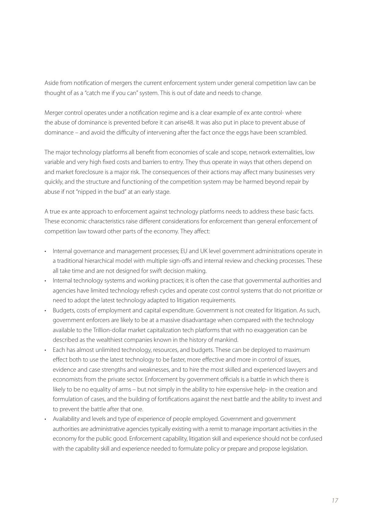Aside from notification of mergers the current enforcement system under general competition law can be thought of as a "catch me if you can" system. This is out of date and needs to change.

Merger control operates under a notification regime and is a clear example of ex ante control- where the abuse of dominance is prevented before it can arise48. It was also put in place to prevent abuse of dominance – and avoid the difficulty of intervening after the fact once the eggs have been scrambled.

The major technology platforms all benefit from economies of scale and scope, network externalities, low variable and very high fixed costs and barriers to entry. They thus operate in ways that others depend on and market foreclosure is a major risk. The consequences of their actions may affect many businesses very quickly, and the structure and functioning of the competition system may be harmed beyond repair by abuse if not "nipped in the bud" at an early stage.

A true ex ante approach to enforcement against technology platforms needs to address these basic facts. These economic characteristics raise different considerations for enforcement than general enforcement of competition law toward other parts of the economy. They affect:

- Internal governance and management processes; EU and UK level government administrations operate in a traditional hierarchical model with multiple sign-offs and internal review and checking processes. These all take time and are not designed for swift decision making.
- Internal technology systems and working practices; it is often the case that governmental authorities and agencies have limited technology refresh cycles and operate cost control systems that do not prioritize or need to adopt the latest technology adapted to litigation requirements.
- Budgets, costs of employment and capital expenditure. Government is not created for litigation. As such, government enforcers are likely to be at a massive disadvantage when compared with the technology available to the Trillion-dollar market capitalization tech platforms that with no exaggeration can be described as the wealthiest companies known in the history of mankind.
- Each has almost unlimited technology, resources, and budgets. These can be deployed to maximum effect both to use the latest technology to be faster, more effective and more in control of issues, evidence and case strengths and weaknesses, and to hire the most skilled and experienced lawyers and economists from the private sector. Enforcement by government officials is a battle in which there is likely to be no equality of arms – but not simply in the ability to hire expensive help- in the creation and formulation of cases, and the building of fortifications against the next battle and the ability to invest and to prevent the battle after that one.
- Availability and levels and type of experience of people employed. Government and government authorities are administrative agencies typically existing with a remit to manage important activities in the economy for the public good. Enforcement capability, litigation skill and experience should not be confused with the capability skill and experience needed to formulate policy or prepare and propose legislation.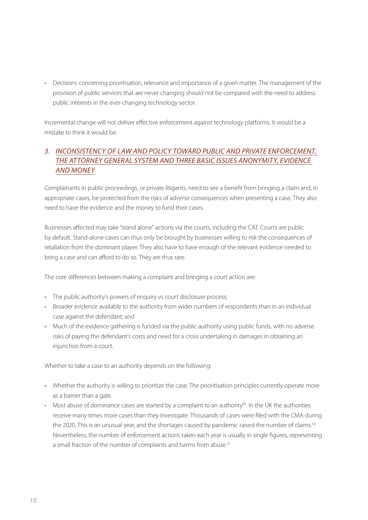• Decisions concerning prioritisation, relevance and importance of a given matter. The management of the provision of public services that are never changing should not be compared with the need to address public interests in the ever-changing technology sector.

Incremental change will not deliver effective enforcement against technology platforms. It would be a mistake to think it would be.

#### *3. INCONSISTENCY OF LAW AND POLICY TOWARD PUBLIC AND PRIVATE ENFORCEMENT. THE ATTORNEY GENERAL SYSTEM AND THREE BASIC ISSUES ANONYMITY, EVIDENCE AND MONEY*

Complainants in public proceedings, or private litigants, need to see a benefit from bringing a claim and, in appropriate cases, be protected from the risks of adverse consequences when presenting a case. They also need to have the evidence and the money to fund their cases.

Businesses affected may take "stand alone" actions via the courts, including the CAT. Courts are public by default. Stand-alone cases can thus only be brought by businesses willing to risk the consequences of retaliation from the dominant player. They also have to have enough of the relevant evidence needed to bring a case and can afford to do so. They are thus rare.

The core differences between making a complaint and bringing a court action are:

- The public authority's powers of enquiry vs court disclosure process;
- Broader evidence available to the authority from wider numbers of respondents than in an individual case against the defendant; and
- Much of the evidence gathering is funded via the public authority using public funds, with no adverse risks of paying the defendant's costs and need for a cross undertaking in damages in obtaining an injunction from a court.

Whether to take a case to an authority depends on the following:

- Whether the authority is willing to prioritize the case. The prioritisation principles currently operate more as a barrier than a gate.
- Most abuse of dominance cases are started by a complaint to an authority $49$ . In the UK the authorities receive many times more cases than they investigate. Thousands of cases were filed with the CMA during the 2020. This is an unusual year, and the shortages caused by pandemic raised the number of claims.<sup>50</sup> Nevertheless, the number of enforcement actions taken each year is usually in single figures, representing a small fraction of the number of complaints and harms from abuse.<sup>51</sup>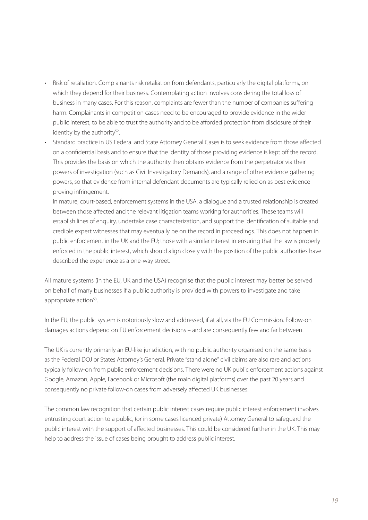- Risk of retaliation. Complainants risk retaliation from defendants, particularly the digital platforms, on which they depend for their business. Contemplating action involves considering the total loss of business in many cases. For this reason, complaints are fewer than the number of companies suffering harm. Complainants in competition cases need to be encouraged to provide evidence in the wider public interest, to be able to trust the authority and to be afforded protection from disclosure of their identity by the authority $52$ .
- Standard practice in US Federal and State Attorney General Cases is to seek evidence from those affected on a confidential basis and to ensure that the identity of those providing evidence is kept off the record. This provides the basis on which the authority then obtains evidence from the perpetrator via their powers of investigation (such as Civil Investigatory Demands), and a range of other evidence gathering powers, so that evidence from internal defendant documents are typically relied on as best evidence proving infringement.

• In mature, court-based, enforcement systems in the USA, a dialogue and a trusted relationship is created between those affected and the relevant litigation teams working for authorities. These teams will establish lines of enquiry, undertake case characterization, and support the identification of suitable and credible expert witnesses that may eventually be on the record in proceedings. This does not happen in public enforcement in the UK and the EU; those with a similar interest in ensuring that the law is properly enforced in the public interest, which should align closely with the position of the public authorities have described the experience as a one-way street.

All mature systems (in the EU, UK and the USA) recognise that the public interest may better be served on behalf of many businesses if a public authority is provided with powers to investigate and take appropriate action<sup>53</sup>.

In the EU, the public system is notoriously slow and addressed, if at all, via the EU Commission. Follow-on damages actions depend on EU enforcement decisions – and are consequently few and far between.

The UK is currently primarily an EU-like jurisdiction, with no public authority organised on the same basis as the Federal DOJ or States Attorney's General. Private "stand alone" civil claims are also rare and actions typically follow-on from public enforcement decisions. There were no UK public enforcement actions against Google, Amazon, Apple, Facebook or Microsoft (the main digital platforms) over the past 20 years and consequently no private follow-on cases from adversely affected UK businesses.

The common law recognition that certain public interest cases require public interest enforcement involves entrusting court action to a public, (or in some cases licenced private) Attorney General to safeguard the public interest with the support of affected businesses. This could be considered further in the UK. This may help to address the issue of cases being brought to address public interest.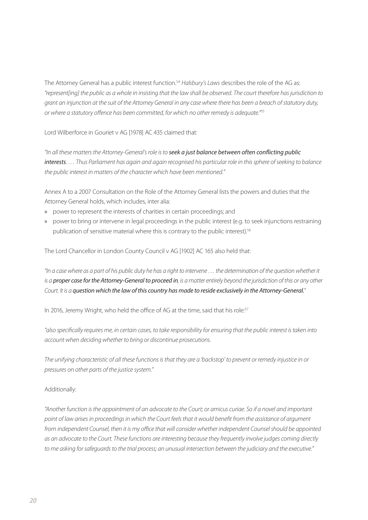The Attorney General has a public interest function.<sup>54</sup> *Halsbury's Laws* describes the role of the AG as: *"represent[ing] the public as a whole in insisting that the law shall be observed. The court therefore has jurisdiction to grant an injunction at the suit of the Attorney General in any case where there has been a breach of statutory duty, or where a statutory offence has been committed, for which no other remedy is adequate."*<sup>55</sup>

Lord Wilberforce in Gouriet v AG [1978] AC 435 claimed that:

*"In all these matters the Attorney-General's role is to seek a just balance between often conflicting public interests. … Thus Parliament has again and again recognised his particular role in this sphere of seeking to balance the public interest in matters of the character which have been mentioned."*

Annex A to a 2007 Consultation on the Role of the Attorney General lists the powers and duties that the Attorney General holds, which includes, inter alia:

- » power to represent the interests of charities in certain proceedings; and
- » power to bring or intervene in legal proceedings in the public interest (e.g. to seek injunctions restraining publication of sensitive material where this is contrary to the public interest).<sup>56</sup>

The Lord Chancellor in London County Council v AG [1902] AC 165 also held that:

*"In a case where as a part of his public duty he has a right to intervene … the determination of the question whether it is a proper case for the Attorney-General to proceed in, is a matter entirely beyond the jurisdiction of this or any other Court. It is a question which the law of this country has made to reside exclusively in the Attorney-General."*

In 2016, Jeremy Wright, who held the office of AG at the time, said that his role:<sup>57</sup>

*"also specifically requires me, in certain cases, to take responsibility for ensuring that the public interest is taken into account when deciding whether to bring or discontinue prosecutions.*

*The unifying characteristic of all these functions is that they are a 'backstop' to prevent or remedy injustice in or pressures on other parts of the justice system."*

#### Additionally:

*"Another function is the appointment of an advocate to the Court; or amicus curiae. So if a novel and important point of law arises in proceedings in which the Court feels that it would benefit from the assistance of argument*  from independent Counsel, then it is my office that will consider whether independent Counsel should be appointed *as an advocate to the Court. These functions are interesting because they frequently involve judges coming directly to me asking for safeguards to the trial process; an unusual intersection between the judiciary and the executive."*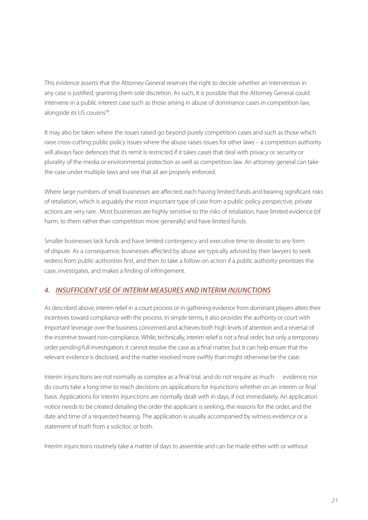This evidence asserts that the Attorney General reserves the right to decide whether an intervention in any case is justified, granting them sole discretion. As such, it is possible that the Attorney General could intervene in a public interest case such as those arising in abuse of dominance cases in competition law, alongside its US cousins<sup>58</sup>.

It may also be taken where the issues raised go beyond purely competition cases and such as those which raise cross-cutting public policy issues where the abuse raises issues for other laws – a competition authority will always face defences that its remit is restricted if it takes cases that deal with privacy or security or plurality of the media or environmental protection as well as competition law. An attorney general can take the case under multiple laws and see that all are properly enforced.

Where large numbers of small businesses are affected, each having limited funds and bearing significant risks of retaliation, which is arguably the most important type of case from a public policy perspective, private actions are very rare. Most businesses are highly sensitive to the risks of retaliation, have limited evidence (of harm, to them rather than competition more generally) and have limited funds.

Smaller businesses lack funds and have limited contingency and executive time to devote to any form of dispute. As a consequence, businesses affected by abuse are typically advised by their lawyers to seek redress from public authorities first, and then to take a follow-on action if a public authority prioritizes the case, investigates, and makes a finding of infringement.

#### *4. INSUFFICIENT USE OF INTERIM MEASURES AND INTERIM INJUNCTIONS*

As described above, interim relief in a court process or in gathering evidence from dominant players alters their incentives toward compliance with the process. In simple terms, it also provides the authority or court with important leverage over the business concerned and achieves both high levels of attention and a reversal of the incentive toward non-compliance. While, technically, interim relief is not a final order, but only a temporary order pending full investigation, it cannot resolve the case as a final matter, but it can help ensure that the relevant evidence is disclosed, and the matter resolved more swiftly than might otherwise be the case.

Interim injunctions are not normally as complex as a final trial, and do not require as much evidence; nor do courts take a long time to reach decisions on applications for injunctions whether on an interim or final basis. Applications for interim injunctions are normally dealt with in days, if not immediately. An application notice needs to be created detailing the order the applicant is seeking, the reasons for the order, and the date and time of a requested hearing. The application is usually accompanied by witness evidence or a statement of truth from a solicitor, or both.

Interim injunctions routinely take a matter of days to assemble and can be made either with or without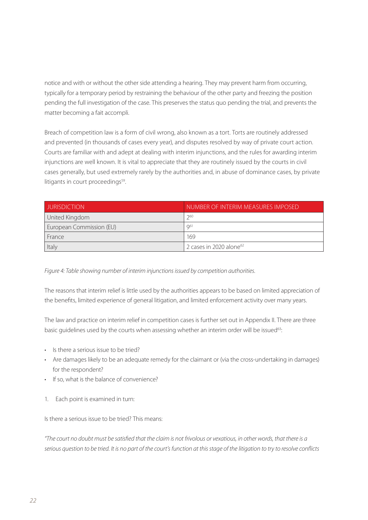notice and with or without the other side attending a hearing. They may prevent harm from occurring, typically for a temporary period by restraining the behaviour of the other party and freezing the position pending the full investigation of the case. This preserves the status quo pending the trial, and prevents the matter becoming a fait accompli.

Breach of competition law is a form of civil wrong, also known as a tort. Torts are routinely addressed and prevented (in thousands of cases every year), and disputes resolved by way of private court action. Courts are familiar with and adept at dealing with interim injunctions, and the rules for awarding interim injunctions are well known. It is vital to appreciate that they are routinely issued by the courts in civil cases generally, but used extremely rarely by the authorities and, in abuse of dominance cases, by private litigants in court proceedings<sup>59</sup>.

| <b>JURISDICTION</b>      | NUMBER OF INTERIM MEASURES IMPOSED. |
|--------------------------|-------------------------------------|
| United Kingdom           | 260                                 |
| European Commission (EU) | $Q^{61}$                            |
| France                   | 169                                 |
| Italy                    | 2 cases in 2020 alone <sup>62</sup> |

*Figure 4: Table showing number of interim injunctions issued by competition authorities.* 

The reasons that interim relief is little used by the authorities appears to be based on limited appreciation of the benefits, limited experience of general litigation, and limited enforcement activity over many years.

The law and practice on interim relief in competition cases is further set out in Appendix II. There are three basic quidelines used by the courts when assessing whether an interim order will be issued<sup>63</sup>:

- Is there a serious issue to be tried?
- Are damages likely to be an adequate remedy for the claimant or (via the cross-undertaking in damages) for the respondent?
- If so, what is the balance of convenience?
- 1. Each point is examined in turn:

Is there a serious issue to be tried? This means:

*"The court no doubt must be satisfied that the claim is not frivolous or vexatious, in other words, that there is a serious question to be tried. It is no part of the court's function at this stage of the litigation to try to resolve conflicts*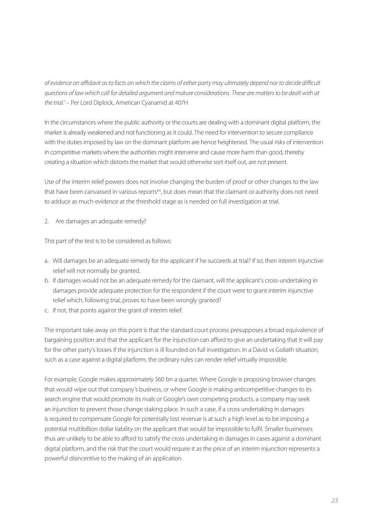*of evidence on affidavit as to facts on which the claims of either party may ultimately depend nor to decide difficult questions of law which call for detailed argument and mature considerations. These are matters to be dealt with at the trial.'* – Per Lord Diplock, American Cyanamid at 407H

In the circumstances where the public authority or the courts are dealing with a dominant digital platform, the market is already weakened and not functioning as it could. The need for intervention to secure compliance with the duties imposed by law on the dominant platform are hence heightened. The usual risks of intervention in competitive markets where the authorities might intervene and cause more harm than good, thereby creating a situation which distorts the market that would otherwise sort itself out, are not present.

Use of the interim relief powers does not involve changing the burden of proof or other changes to the law that have been canvassed in various reports<sup>64</sup>, but does mean that the claimant or authority does not need to adduce as much evidence at the threshold stage as is needed on full investigation at trial.

2. Are damages an adequate remedy?

This part of the test is to be considered as follows:

- a. Will damages be an adequate remedy for the applicant if he succeeds at trial? If so, then interim injunctive relief will not normally be granted.
- b. If damages would not be an adequate remedy for the claimant, will the applicant's cross-undertaking in damages provide adequate protection for the respondent if the court were to grant interim injunctive relief which, following trial, proves to have been wrongly granted?
- c. If not, that points against the grant of interim relief.

The important take away on this point is that the standard court process presupposes a broad equivalence of bargaining position and that the applicant for the injunction can afford to give an undertaking that it will pay for the other party's losses if the injunction is ill founded on full investigation. In a David vs Goliath situation, such as a case against a digital platform, the ordinary rules can render relief virtually impossible.

For example, Google makes approximately \$60 bn a quarter. Where Google is proposing browser changes that would wipe out that company's business, or where Google is making anticompetitive changes to its search engine that would promote its rivals or Google's own competing products, a company may seek an injunction to prevent those change staking place. In such a case, if a cross undertaking in damages is required to compensate Google for potentially lost revenue is at such a high level as to be imposing a potential multibillion dollar liability on the applicant that would be impossible to fulfil. Smaller businesses thus are unlikely to be able to afford to satisfy the cross undertaking in damages in cases against a dominant digital platform, and the risk that the court would require it as the price of an interim injunction represents a powerful disincentive to the making of an application.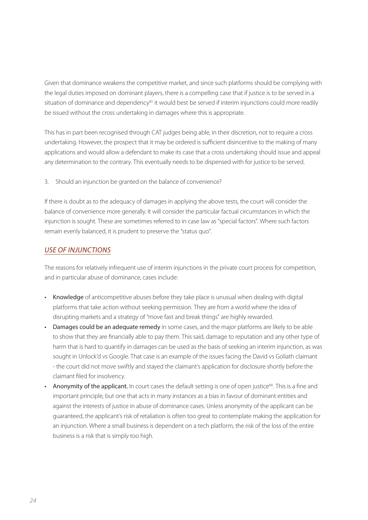Given that dominance weakens the competitive market, and since such platforms should be complying with the legal duties imposed on dominant players, there is a compelling case that if justice is to be served in a situation of dominance and dependency<sup>65</sup> it would best be served if interim injunctions could more readily be issued without the cross undertaking in damages where this is appropriate.

This has in part been recognised through CAT judges being able, in their discretion, not to require a cross undertaking. However, the prospect that it may be ordered is sufficient disincentive to the making of many applications and would allow a defendant to make its case that a cross undertaking should issue and appeal any determination to the contrary. This eventually needs to be dispensed with for justice to be served.

3. Should an injunction be granted on the balance of convenience?

If there is doubt as to the adequacy of damages in applying the above tests, the court will consider the balance of convenience more generally. It will consider the particular factual circumstances in which the injunction is sought. These are sometimes referred to in case law as "special factors". Where such factors remain evenly balanced, it is prudent to preserve the "status quo".

#### *USE OF INJUNCTIONS*

The reasons for relatively infrequent use of interim injunctions in the private court process for competition, and in particular abuse of dominance, cases include:

- Knowledge of anticompetitive abuses before they take place is unusual when dealing with digital platforms that take action without seeking permission. They are from a world where the idea of disrupting markets and a strategy of "move fast and break things" are highly rewarded.
- Damages could be an adequate remedy in some cases, and the major platforms are likely to be able to show that they are financially able to pay them. This said, damage to reputation and any other type of harm that is hard to quantify in damages can be used as the basis of seeking an interim injunction, as was sought in Unlock'd vs Google. That case is an example of the issues facing the David vs Goliath claimant - the court did not move swiftly and stayed the claimant's application for disclosure shortly before the claimant filed for insolvency.
- Anonymity of the applicant. In court cases the default setting is one of open justice<sup>66</sup>. This is a fine and important principle, but one that acts in many instances as a bias in favour of dominant entities and against the interests of justice in abuse of dominance cases. Unless anonymity of the applicant can be guaranteed, the applicant's risk of retaliation is often too great to contemplate making the application for an injunction. Where a small business is dependent on a tech platform, the risk of the loss of the entire business is a risk that is simply too high.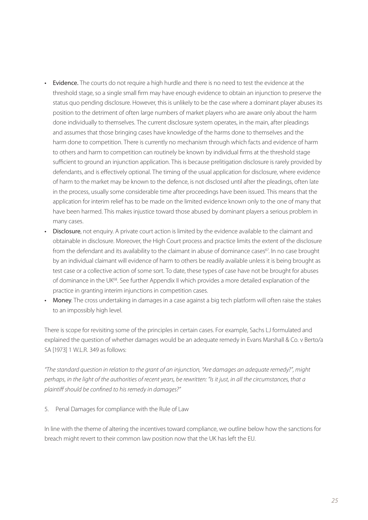- Evidence. The courts do not require a high hurdle and there is no need to test the evidence at the threshold stage, so a single small firm may have enough evidence to obtain an injunction to preserve the status quo pending disclosure. However, this is unlikely to be the case where a dominant player abuses its position to the detriment of often large numbers of market players who are aware only about the harm done individually to themselves. The current disclosure system operates, in the main, after pleadings and assumes that those bringing cases have knowledge of the harms done to themselves and the harm done to competition. There is currently no mechanism through which facts and evidence of harm to others and harm to competition can routinely be known by individual firms at the threshold stage sufficient to ground an injunction application. This is because prelitigation disclosure is rarely provided by defendants, and is effectively optional. The timing of the usual application for disclosure, where evidence of harm to the market may be known to the defence, is not disclosed until after the pleadings, often late in the process, usually some considerable time after proceedings have been issued. This means that the application for interim relief has to be made on the limited evidence known only to the one of many that have been harmed. This makes injustice toward those abused by dominant players a serious problem in many cases.
- Disclosure, not enquiry. A private court action is limited by the evidence available to the claimant and obtainable in disclosure. Moreover, the High Court process and practice limits the extent of the disclosure from the defendant and its availability to the claimant in abuse of dominance cases<sup>67</sup>. In no case brought by an individual claimant will evidence of harm to others be readily available unless it is being brought as test case or a collective action of some sort. To date, these types of case have not be brought for abuses of dominance in the UK<sup>68</sup>. See further Appendix II which provides a more detailed explanation of the practice in granting interim injunctions in competition cases.
- Money. The cross undertaking in damages in a case against a big tech platform will often raise the stakes to an impossibly high level.

There is scope for revisiting some of the principles in certain cases. For example, Sachs LJ formulated and explained the question of whether damages would be an adequate remedy in Evans Marshall & Co. v Berto/a SA [1973] 1 W.L.R. 349 as follows:

*"The standard question in relation to the grant of an injunction, "Are damages an adequate remedy?", might perhaps, in the light of the authorities of recent years, be rewritten: "Is it just, in all the circumstances, that a plaintiff should be confined to his remedy in damages?"* 

5. Penal Damages for compliance with the Rule of Law

In line with the theme of altering the incentives toward compliance, we outline below how the sanctions for breach might revert to their common law position now that the UK has left the EU.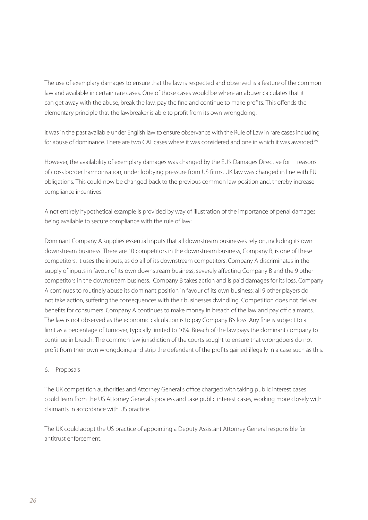The use of exemplary damages to ensure that the law is respected and observed is a feature of the common law and available in certain rare cases. One of those cases would be where an abuser calculates that it can get away with the abuse, break the law, pay the fine and continue to make profits. This offends the elementary principle that the lawbreaker is able to profit from its own wrongdoing.

It was in the past available under English law to ensure observance with the Rule of Law in rare cases including for abuse of dominance. There are two CAT cases where it was considered and one in which it was awarded.<sup>69</sup>

However, the availability of exemplary damages was changed by the EU's Damages Directive for reasons of cross border harmonisation, under lobbying pressure from US firms. UK law was changed in line with EU obligations. This could now be changed back to the previous common law position and, thereby increase compliance incentives.

A not entirely hypothetical example is provided by way of illustration of the importance of penal damages being available to secure compliance with the rule of law:

Dominant Company A supplies essential inputs that all downstream businesses rely on, including its own downstream business. There are 10 competitors in the downstream business, Company B, is one of these competitors. It uses the inputs, as do all of its downstream competitors. Company A discriminates in the supply of inputs in favour of its own downstream business, severely affecting Company B and the 9 other competitors in the downstream business. Company B takes action and is paid damages for its loss. Company A continues to routinely abuse its dominant position in favour of its own business; all 9 other players do not take action, suffering the consequences with their businesses dwindling. Competition does not deliver benefits for consumers. Company A continues to make money in breach of the law and pay off claimants. The law is not observed as the economic calculation is to pay Company B's loss. Any fine is subject to a limit as a percentage of turnover, typically limited to 10%. Breach of the law pays the dominant company to continue in breach. The common law jurisdiction of the courts sought to ensure that wrongdoers do not profit from their own wrongdoing and strip the defendant of the profits gained illegally in a case such as this.

#### 6. Proposals

The UK competition authorities and Attorney General's office charged with taking public interest cases could learn from the US Attorney General's process and take public interest cases, working more closely with claimants in accordance with US practice.

The UK could adopt the US practice of appointing a Deputy Assistant Attorney General responsible for antitrust enforcement.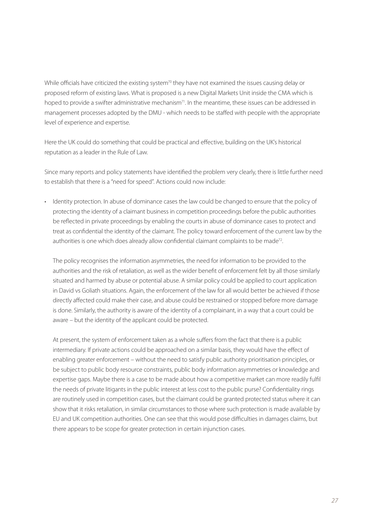While officials have criticized the existing system<sup>70</sup> they have not examined the issues causing delay or proposed reform of existing laws. What is proposed is a new Digital Markets Unit inside the CMA which is hoped to provide a swifter administrative mechanism<sup>71</sup>. In the meantime, these issues can be addressed in management processes adopted by the DMU - which needs to be staffed with people with the appropriate level of experience and expertise.

Here the UK could do something that could be practical and effective, building on the UK's historical reputation as a leader in the Rule of Law.

Since many reports and policy statements have identified the problem very clearly, there is little further need to establish that there is a "need for speed". Actions could now include:

• Identity protection. In abuse of dominance cases the law could be changed to ensure that the policy of protecting the identity of a claimant business in competition proceedings before the public authorities be reflected in private proceedings by enabling the courts in abuse of dominance cases to protect and treat as confidential the identity of the claimant. The policy toward enforcement of the current law by the authorities is one which does already allow confidential claimant complaints to be made<sup>72</sup>.

The policy recognises the information asymmetries, the need for information to be provided to the authorities and the risk of retaliation, as well as the wider benefit of enforcement felt by all those similarly situated and harmed by abuse or potential abuse. A similar policy could be applied to court application in David vs Goliath situations. Again, the enforcement of the law for all would better be achieved if those directly affected could make their case, and abuse could be restrained or stopped before more damage is done. Similarly, the authority is aware of the identity of a complainant, in a way that a court could be aware – but the identity of the applicant could be protected.

At present, the system of enforcement taken as a whole suffers from the fact that there is a public intermediary. If private actions could be approached on a similar basis, they would have the effect of enabling greater enforcement – without the need to satisfy public authority prioritisation principles, or be subject to public body resource constraints, public body information asymmetries or knowledge and expertise gaps. Maybe there is a case to be made about how a competitive market can more readily fulfil the needs of private litigants in the public interest at less cost to the public purse? Confidentiality rings are routinely used in competition cases, but the claimant could be granted protected status where it can show that it risks retaliation, in similar circumstances to those where such protection is made available by EU and UK competition authorities. One can see that this would pose difficulties in damages claims, but there appears to be scope for greater protection in certain injunction cases.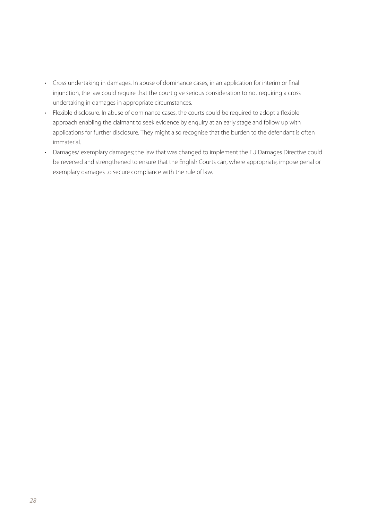- Cross undertaking in damages. In abuse of dominance cases, in an application for interim or final injunction, the law could require that the court give serious consideration to not requiring a cross undertaking in damages in appropriate circumstances.
- Flexible disclosure. In abuse of dominance cases, the courts could be required to adopt a flexible approach enabling the claimant to seek evidence by enquiry at an early stage and follow up with applications for further disclosure. They might also recognise that the burden to the defendant is often immaterial.
- Damages/ exemplary damages; the law that was changed to implement the EU Damages Directive could be reversed and strengthened to ensure that the English Courts can, where appropriate, impose penal or exemplary damages to secure compliance with the rule of law.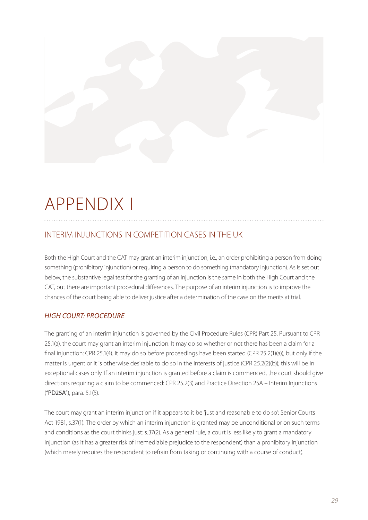# APPENDIX I

### INTERIM INJUNCTIONS IN COMPETITION CASES IN THE UK

Both the High Court and the CAT may grant an interim injunction, i.e., an order prohibiting a person from doing something (prohibitory injunction) or requiring a person to do something (mandatory injunction). As is set out below, the substantive legal test for the granting of an injunction is the same in both the High Court and the CAT, but there are important procedural differences. The purpose of an interim injunction is to improve the chances of the court being able to deliver justice after a determination of the case on the merits at trial.

#### *HIGH COURT: PROCEDURE*

The granting of an interim injunction is governed by the Civil Procedure Rules (CPR) Part 25. Pursuant to CPR 25.1(a), the court may grant an interim injunction. It may do so whether or not there has been a claim for a final injunction: CPR 25.1(4). It may do so before proceedings have been started (CPR 25.2(1)(a)), but only if the matter is urgent or it is otherwise desirable to do so in the interests of justice (CPR 25.2(2)(b)); this will be in exceptional cases only. If an interim injunction is granted before a claim is commenced, the court should give directions requiring a claim to be commenced: CPR 25.2(3) and Practice Direction 25A – Interim Injunctions ("PD25A"), para. 5.1(5).

The court may grant an interim injunction if it appears to it be 'just and reasonable to do so': Senior Courts Act 1981, s.37(1). The order by which an interim injunction is granted may be unconditional or on such terms and conditions as the court thinks just: s.37(2). As a general rule, a court is less likely to grant a mandatory injunction (as it has a greater risk of irremediable prejudice to the respondent) than a prohibitory injunction (which merely requires the respondent to refrain from taking or continuing with a course of conduct).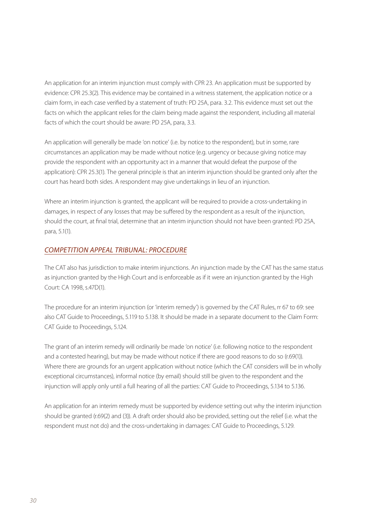An application for an interim injunction must comply with CPR 23. An application must be supported by evidence: CPR 25.3(2). This evidence may be contained in a witness statement, the application notice or a claim form, in each case verified by a statement of truth: PD 25A, para. 3.2. This evidence must set out the facts on which the applicant relies for the claim being made against the respondent, including all material facts of which the court should be aware: PD 25A, para, 3.3.

An application will generally be made 'on notice' (i.e. by notice to the respondent), but in some, rare circumstances an application may be made without notice (e.g. urgency or because giving notice may provide the respondent with an opportunity act in a manner that would defeat the purpose of the application): CPR 25.3(1). The general principle is that an interim injunction should be granted only after the court has heard both sides. A respondent may give undertakings in lieu of an injunction.

Where an interim injunction is granted, the applicant will be required to provide a cross-undertaking in damages, in respect of any losses that may be suffered by the respondent as a result of the injunction, should the court, at final trial, determine that an interim injunction should not have been granted: PD 25A, para, 5.1(1).

#### *COMPETITION APPEAL TRIBUNAL: PROCEDURE*

The CAT also has jurisdiction to make interim injunctions. An injunction made by the CAT has the same status as injunction granted by the High Court and is enforceable as if it were an injunction granted by the High Court: CA 1998, s.47D(1).

The procedure for an interim injunction (or 'interim remedy') is governed by the CAT Rules, rr 67 to 69: see also CAT Guide to Proceedings, 5.119 to 5.138. It should be made in a separate document to the Claim Form: CAT Guide to Proceedings, 5.124.

The grant of an interim remedy will ordinarily be made 'on notice' (i.e. following notice to the respondent and a contested hearing), but may be made without notice if there are good reasons to do so (r.69(1)). Where there are grounds for an urgent application without notice (which the CAT considers will be in wholly exceptional circumstances), informal notice (by email) should still be given to the respondent and the injunction will apply only until a full hearing of all the parties: CAT Guide to Proceedings, 5.134 to 5.136.

An application for an interim remedy must be supported by evidence setting out why the interim injunction should be granted (r.69(2) and (3)). A draft order should also be provided, setting out the relief (i.e. what the respondent must not do) and the cross-undertaking in damages: CAT Guide to Proceedings, 5.129.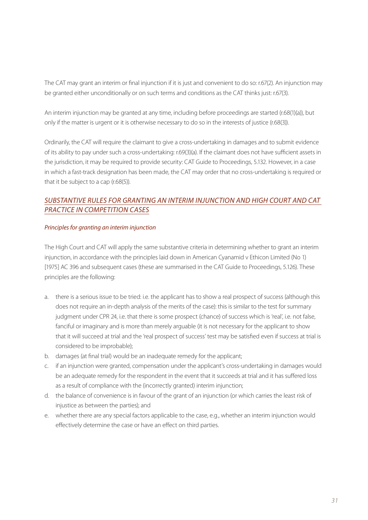The CAT may grant an interim or final injunction if it is just and convenient to do so: r.67(2). An injunction may be granted either unconditionally or on such terms and conditions as the CAT thinks just: r.67(3).

An interim injunction may be granted at any time, including before proceedings are started (r.68(1)(a)), but only if the matter is urgent or it is otherwise necessary to do so in the interests of justice (r.68(3)).

Ordinarily, the CAT will require the claimant to give a cross-undertaking in damages and to submit evidence of its ability to pay under such a cross-undertaking: r.69(3)(a). If the claimant does not have sufficient assets in the jurisdiction, it may be required to provide security: CAT Guide to Proceedings, 5.132. However, in a case in which a fast-track designation has been made, the CAT may order that no cross-undertaking is required or that it be subject to a cap (r.68(5)).

#### *SUBSTANTIVE RULES FOR GRANTING AN INTERIM INJUNCTION AND HIGH COURT AND CAT PRACTICE IN COMPETITION CASES*

#### *Principles for granting an interim injunction*

The High Court and CAT will apply the same substantive criteria in determining whether to grant an interim injunction, in accordance with the principles laid down in American Cyanamid v Ethicon Limited (No 1) [1975] AC 396 and subsequent cases (these are summarised in the CAT Guide to Proceedings, 5.126). These principles are the following:

- a. there is a serious issue to be tried: i.e. the applicant has to show a real prospect of success (although this does not require an in-depth analysis of the merits of the case): this is similar to the test for summary judgment under CPR 24, i.e. that there is some prospect (chance) of success which is 'real', i.e. not false, fanciful or imaginary and is more than merely arguable (it is not necessary for the applicant to show that it will succeed at trial and the 'real prospect of success' test may be satisfied even if success at trial is considered to be improbable);
- b. damages (at final trial) would be an inadequate remedy for the applicant;
- c. if an injunction were granted, compensation under the applicant's cross-undertaking in damages would be an adequate remedy for the respondent in the event that it succeeds at trial and it has suffered loss as a result of compliance with the (incorrectly granted) interim injunction;
- d. the balance of convenience is in favour of the grant of an injunction (or which carries the least risk of injustice as between the parties); and
- e. whether there are any special factors applicable to the case, e.g., whether an interim injunction would effectively determine the case or have an effect on third parties.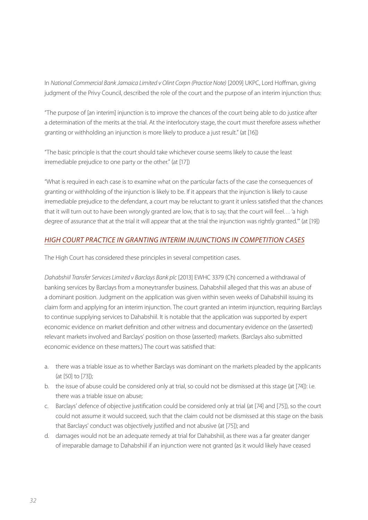In *National Commercial Bank Jamaica Limited v Olint Corpn (Practice Note)* [2009] UKPC, Lord Hoffman, giving judgment of the Privy Council, described the role of the court and the purpose of an interim injunction thus:

"The purpose of [an interim] injunction is to improve the chances of the court being able to do justice after a determination of the merits at the trial. At the interlocutory stage, the court must therefore assess whether granting or withholding an injunction is more likely to produce a just result." (at [16])

"The basic principle is that the court should take whichever course seems likely to cause the least irremediable prejudice to one party or the other." (at [17])

"What is required in each case is to examine what on the particular facts of the case the consequences of granting or withholding of the injunction is likely to be. If it appears that the injunction is likely to cause irremediable prejudice to the defendant, a court may be reluctant to grant it unless satisfied that the chances that it will turn out to have been wrongly granted are low, that is to say, that the court will feel… 'a high degree of assurance that at the trial it will appear that at the trial the injunction was rightly granted.'" (at [19])

#### *HIGH COURT PRACTICE IN GRANTING INTERIM INJUNCTIONS IN COMPETITION CASES*

The High Court has considered these principles in several competition cases.

*Dahabshiil Transfer Services Limited v Barclays Bank plc* [2013] EWHC 3379 (Ch) concerned a withdrawal of banking services by Barclays from a moneytransfer business. Dahabshiil alleged that this was an abuse of a dominant position. Judgment on the application was given within seven weeks of Dahabshiil issuing its claim form and applying for an interim injunction. The court granted an interim injunction, requiring Barclays to continue supplying services to Dahabshiil. It is notable that the application was supported by expert economic evidence on market definition and other witness and documentary evidence on the (asserted) relevant markets involved and Barclays' position on those (asserted) markets. (Barclays also submitted economic evidence on these matters.) The court was satisfied that:

- a. there was a triable issue as to whether Barclays was dominant on the markets pleaded by the applicants (at [50] to [73]);
- b. the issue of abuse could be considered only at trial, so could not be dismissed at this stage (at [74]): i.e. there was a triable issue on abuse;
- c. Barclays' defence of objective justification could be considered only at trial (at [74] and [75]), so the court could not assume it would succeed, such that the claim could not be dismissed at this stage on the basis that Barclays' conduct was objectively justified and not abusive (at [75]); and
- d. damages would not be an adequate remedy at trial for Dahabshiil, as there was a far greater danger of irreparable damage to Dahabshiil if an injunction were not granted (as it would likely have ceased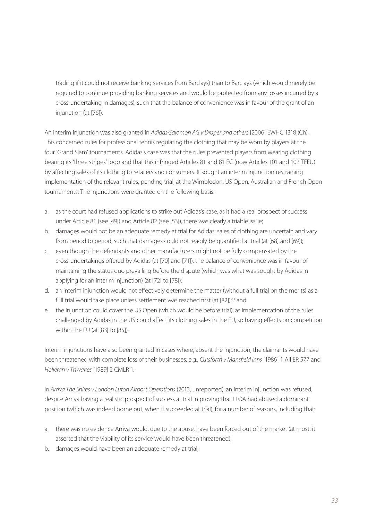trading if it could not receive banking services from Barclays) than to Barclays (which would merely be required to continue providing banking services and would be protected from any losses incurred by a cross-undertaking in damages), such that the balance of convenience was in favour of the grant of an injunction (at [76]).

An interim injunction was also granted in *Adidas-Salomon AG v Draper and others* [2006] EWHC 1318 (Ch). This concerned rules for professional tennis regulating the clothing that may be worn by players at the four 'Grand Slam' tournaments. Adidas's case was that the rules prevented players from wearing clothing bearing its 'three stripes' logo and that this infringed Articles 81 and 81 EC (now Articles 101 and 102 TFEU) by affecting sales of its clothing to retailers and consumers. It sought an interim injunction restraining implementation of the relevant rules, pending trial, at the Wimbledon, US Open, Australian and French Open tournaments. The injunctions were granted on the following basis:

- a. as the court had refused applications to strike out Adidas's case, as it had a real prospect of success under Article 81 (see [49]) and Article 82 (see [53]), there was clearly a triable issue;
- b. damages would not be an adequate remedy at trial for Adidas: sales of clothing are uncertain and vary from period to period, such that damages could not readily be quantified at trial (at [68] and [69]);
- c. even though the defendants and other manufacturers might not be fully compensated by the cross-undertakings offered by Adidas (at [70] and [71]), the balance of convenience was in favour of maintaining the status quo prevailing before the dispute (which was what was sought by Adidas in applying for an interim injunction) (at [72] to [78]);
- d. an interim injunction would not effectively determine the matter (without a full trial on the merits) as a full trial would take place unless settlement was reached first (at [82]);<sup>73</sup> and
- e. the injunction could cover the US Open (which would be before trial), as implementation of the rules challenged by Adidas in the US could affect its clothing sales in the EU, so having effects on competition within the EU (at [83] to [85]).

Interim injunctions have also been granted in cases where, absent the injunction, the claimants would have been threatened with complete loss of their businesses: e.g., *Cutsforth v Mansfield Inns* [1986] 1 All ER 577 and *Holleran v Thwaites* [1989] 2 CMLR 1.

In *Arriva The Shires v London Luton Airport Operations* (2013, unreported), an interim injunction was refused, despite Arriva having a realistic prospect of success at trial in proving that LLOA had abused a dominant position (which was indeed borne out, when it succeeded at trial), for a number of reasons, including that:

- a. there was no evidence Arriva would, due to the abuse, have been forced out of the market (at most, it asserted that the viability of its service would have been threatened);
- b. damages would have been an adequate remedy at trial;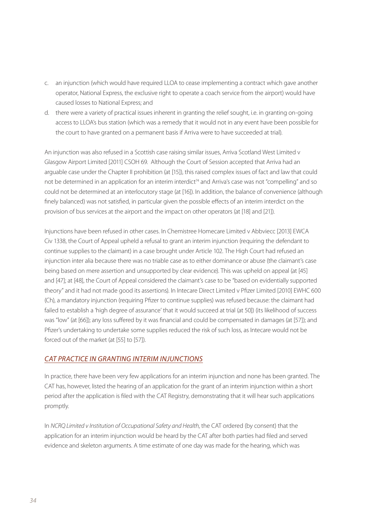- c. an injunction (which would have required LLOA to cease implementing a contract which gave another operator, National Express, the exclusive right to operate a coach service from the airport) would have caused losses to National Express; and
- d. there were a variety of practical issues inherent in granting the relief sought, i.e. in granting on-going access to LLOA's bus station (which was a remedy that it would not in any event have been possible for the court to have granted on a permanent basis if Arriva were to have succeeded at trial).

An injunction was also refused in a Scottish case raising similar issues, Arriva Scotland West Limited v Glasgow Airport Limited [2011] CSOH 69. Although the Court of Session accepted that Arriva had an arguable case under the Chapter II prohibition (at [15]), this raised complex issues of fact and law that could not be determined in an application for an interim interdict<sup>74</sup> and Arriva's case was not "compelling" and so could not be determined at an interlocutory stage (at [16]). In addition, the balance of convenience (although finely balanced) was not satisfied, in particular given the possible effects of an interim interdict on the provision of bus services at the airport and the impact on other operators (at [18] and [21]).

Injunctions have been refused in other cases. In Chemistree Homecare Limited v Abbviecc [2013] EWCA Civ 1338, the Court of Appeal upheld a refusal to grant an interim injunction (requiring the defendant to continue supplies to the claimant) in a case brought under Article 102. The High Court had refused an injunction inter alia because there was no triable case as to either dominance or abuse (the claimant's case being based on mere assertion and unsupported by clear evidence). This was upheld on appeal (at [45] and [47]; at [48], the Court of Appeal considered the claimant's case to be "based on evidentially supported theory" and it had not made good its assertions). In Intecare Direct Limited v Pfizer Limited [2010] EWHC 600 (Ch), a mandatory injunction (requiring Pfizer to continue supplies) was refused because: the claimant had failed to establish a 'high degree of assurance' that it would succeed at trial (at 50]) (its likelihood of success was "low" (at [66]); any loss suffered by it was financial and could be compensated in damages (at [57]); and Pfizer's undertaking to undertake some supplies reduced the risk of such loss, as Intecare would not be forced out of the market (at [55] to [57]).

#### *CAT PRACTICE IN GRANTING INTERIM INJUNCTIONS*

In practice, there have been very few applications for an interim injunction and none has been granted. The CAT has, however, listed the hearing of an application for the grant of an interim injunction within a short period after the application is filed with the CAT Registry, demonstrating that it will hear such applications promptly.

In *NCRQ Limited v Institution of Occupational Safety and Health*, the CAT ordered (by consent) that the application for an interim injunction would be heard by the CAT after both parties had filed and served evidence and skeleton arguments. A time estimate of one day was made for the hearing, which was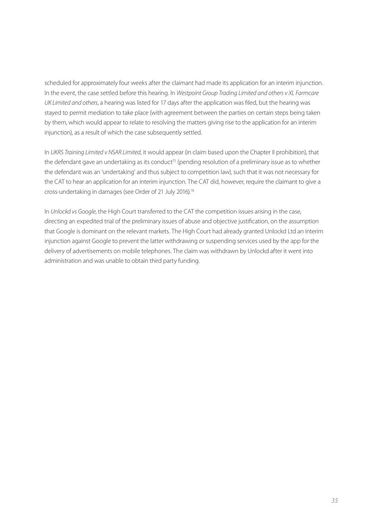scheduled for approximately four weeks after the claimant had made its application for an interim injunction. In the event, the case settled before this hearing. In *Westpoint Group Trading Limited and others v XL Farmcare UK Limited and others*, a hearing was listed for 17 days after the application was filed, but the hearing was stayed to permit mediation to take place (with agreement between the parties on certain steps being taken by them, which would appear to relate to resolving the matters giving rise to the application for an interim injunction), as a result of which the case subsequently settled.

In *UKRS Training Limited v NSAR Limited*, it would appear (in claim based upon the Chapter II prohibition), that the defendant gave an undertaking as its conduct<sup>75</sup> (pending resolution of a preliminary issue as to whether the defendant was an 'undertaking' and thus subject to competition law), such that it was not necessary for the CAT to hear an application for an interim injunction. The CAT did, however, require the claimant to give a cross-undertaking in damages (see Order of 21 July 2016).76

In *Unlockd vs Google*, the High Court transferred to the CAT the competition issues arising in the case, directing an expedited trial of the preliminary issues of abuse and objective justification, on the assumption that Google is dominant on the relevant markets. The High Court had already granted Unlockd Ltd an interim injunction against Google to prevent the latter withdrawing or suspending services used by the app for the delivery of advertisements on mobile telephones. The claim was withdrawn by Unlockd after it went into administration and was unable to obtain third party funding.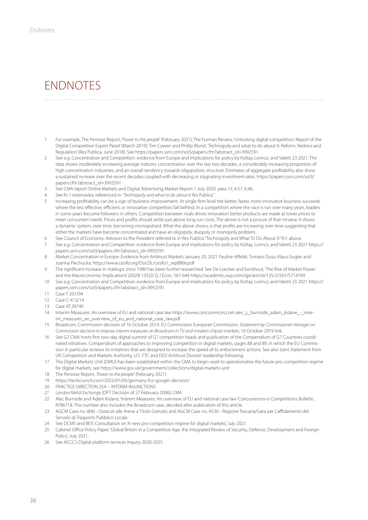## **ENDNOTES**

1 For example, The Penrose Report, '*Power to the people'* (February 2021); The Furman Review, 'Unlocking digital competition, Report of the Digital Competition Expert Panel' (March 2019); Tim Cowen and Phillip Blond, 'Technopoly and what to do about it: Reform, Redress and Regulation' (Res Publica, June 2018). See https://papers.ssrn.com/sol3/papers.cfm?abstract\_id=3992591

- 2 See e.g. Concentration and Competition: evidence from Europe and implications for policy by Koltay, Lorincz, and Valetti 23 2021. The data shows moderately increasing average industry concentration over the last two decades, a considerably increasing proportion of high concentration industries, and an overall tendency towards oligopolistic structure. Estimates of aggregate profitability also show a sustained increase over the recent decades coupled with decreasing or stagnating investment rates. https://papers.ssrn.com/sol3/ papers.cfm?abstract\_id=3992591
- 3 See CMA report Online Markets and Digital Advertising Market Report 1 July 2020 para 13, 4.57, 6.46,
- 4 See fn 1 extensivley referenced in *"Technopoly and what to do about it Res Publica."*
- 5 Increasing profitability can be a sign of business improvement. At single firm level the better, faster, more innovative business succeeds where the less effective, efficient, or innovative competitors fall behind. In a competition where the race is run over many years, leaders in some years become followers in others. Competition between rivals drives innovation better products are made at lower prices to meet consumers' needs. Prices and profits should settle just above long run costs. The above is not a picture of that nirvana. It shows a dynamic system, over time, becoming monopolised. What the above shows, is that profits are increasing over time suggesting that either the markets have become concentrated and have an oligopoly, duopoly or monopoly problem.
- 6 See Council of Economic Advisors to the President referred to in Res Publica "Technopoly and What To Do About It" fn1 above.
- 7 See e.g. Concentration and Competition: evidence from Europe and implications for policy by Koltay, Lorincz, and Valetti 23 2021 https:// papers.ssrn.com/sol3/papers.cfm?abstract\_id=3992591
- 8 Market Concentration in Europe: Evidence from Antitrust Markets January 20, 2021 Pauline Affeldt, Tomaso Duso, Klaus Gugler and Joanna Piechucka. https://www.cesifo.org/DocDL/cesifo1\_wp8866.pdf
- 9 The significant increase in markups since 1980 has been further researched. See De Loecker and Eeckhout, 'The Rise of Market Power and the Macreconomic Implications' (2020) 135(2) Q J Econ, 561-644 https://academic.oup.com/qje/article/135/2/561/5714769
- 10 See e.g. Concentration and Competition: evidence from Europe and implications for policy by Koltay, Lorincz, and Valetti 23 2021 https:// papers.ssrn.com/sol3/papers.cfm?abstract\_id=3992591
- 11 Case T-201/04
- 12 Case C-413/14
- 13 Case AT.39740
- 14 Interim Measures: An overview of EU and national case law https://www.concurrences.com alec\_i.\_burnside\_adam\_kidane\_-\_interim\_measures\_an\_overview\_of\_eu\_and\_national\_case\_law.pdf
- 15 Broadcom, Commission decision of 16 October 2019. EU Commission European Commission, *Statement by Commissioner Vestager on Commission decision to impose interim measures on Broadcom in TV and modem chipset markets*, 16 October 2019 link.
- 16 See G7 CMA hosts first two-day digital summit of G7 competition heads and publication of the Compendium of G7 Countries coordinated initiatives: Compendium of approaches to improving competition in digital markets, pages 88 and 89, in which the EU Commission in particular reviews its initiatives that are designed to increase the speed of its enforcement actions. See also Joint Statement from UK Competition and Markets Authority, U.S. FTC and DOJ Antitrust Division leadership following.
- 17 The Digital Markets Unit (DMU) has been established within the CMA to begin work to operationalise the future pro-competition regime for digital markets, see https://www.gov.uk/government/collections/digital-markets-unit
- 18 The Penrose Report, *'Power to the people'* (February 2021)
- 19 https://techcrunch.com/2022/01/05/germany-fco-google-decision/
- 20 PRACTICE DIRECTION 25A INTERIM INJUNCTIONS
- *21 London Metal Exchange* (OFT Decision of 27 February 2006); CMA
- 22 Alec Burnside and Adam Kidane, 'Interim Measures: An overview of EU and national case law' Concurrences e-Competitions Bulletin, N°86718. This number also includes the Broadcom case, decided after publication of this article.
- 23 AGCM Case no. I840 Ostacoli alle Arene a Titolo Gratuito and AGCM Case no. A536 Regione Toscana/Gara per L'affidamento del Servizio di Trasporto Pubblico Locale.
- 24 See DCMS and BEIS Consultation on 'A new pro-competition regime for digital markets', July 2021.
- 25 Cabinet Office Policy Paper, 'Global Britain in a Competitive Age: the Integrated Review of Security, Defence, Development and Foreign Policy', July 2021.
- 26 See ACCC's Digital platform services inquiry 2020-2025.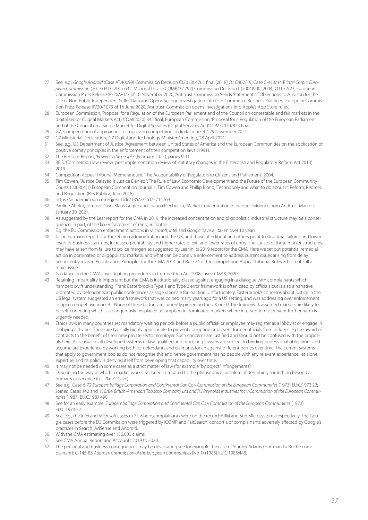- 27 See, e.g., *Google Android* (Case AT.40099) Commission Decision C(2018) 4761 final [2018] OJ C402/19; Case C-413/14 P *Intel Corp. v European Commission* (2017) EU:C:2017:632; Microsoft (Case COMP/37.792) Commission Decision C(2004)900 [2004] OJ L32/23; European Commission Press Release IP/20/2077 of 10 November 2020, 'Antitrust: Commission Sends Statement of Objections to Amazon for the Use of Non-Public Independent Seller Data and Opens Second Investigation into its E-Commerce Business Practices'; European Commission Press Release IP/20/1073 of 16 June 2020, 'Antitrust: Commission opens investigations into Apple's App Store rules'.
- 28 European Commission, 'Proposal for a Regulation of the European Parliament and of the Council on contestable and fair markets in the digital sector (Digital Markets Act)' COM(2020) 842 final; European Commission, 'Proposal for a Regulation of the European Parliament and of the Council on a Single Market for Digital Services (Digital Services Act)' COM/2020/825 final.
- 29 G7, 'Compendium of approaches to improving competition in digital markets', 29 November 2021.
- 30 G7 Ministerial Declaration, 'G7 Digital and Technology Ministers' meeting, 28 April 2021'.
- 31 See, e.g., US Department of Justice, 'Agreement between United States of America and the European Communities on the application of positive comity principles in the enforcement of their competition laws' (1991).
- 32 The Penrose Report, *'Power to the people'* (February 2021), pages 9-11.
- 33 BEIS, 'Competition law review: post implementation review of statutory changes in the Enterprise and Regulatory Reform Act 2013',  $2010$
- 34 Competition Appeal Tribunal Memorandum, 'The Accountability of Regulators to Citizens and Parliament', 2004.
- 35 Tim Cowen, '"Justice Delayed is Justice Denied": The Rule of Law, Economic Development and the Future of the European Community Courts' (2008) 4(1) European Competition Journal 1; Tim Cowen and Phillip Blond, 'Technopoly and what to do about it: Reform, Redress and Regulation' (Res Publica, June 2018).
- 36 https://academic.oup.com/qje/article/135/2/561/5714769
- 37 Pauline Affeldt, Tomaso Duso, Klaus Gugler and Joanna Piechucka, 'Market Concentration in Europe: Evidence from Antitrust Markets', January 20, 2021.
- 38 As suggested by the Lear report for the CMA in 2019, the increased concentration and oligopolistic industrial structure may be a consequence, in part, of the lax enforcement of merger control.
- 39 E.g. the EU Commission enforcement actions in *Microsoft, Inte*l and *Google* have all taken over 10 years.
- 40 Jason Furman's reports for the Obama administration and the UK, and those of Eckhout and others point to structural failures and lower levels of business start-ups, increased profitability and higher rates of exit and lower rates of entry. The causes of these market structures may have arisen from failure to police mergers as suggested by Lear in its 2019 report for the CMA. Here we set out potential remedial action in dominated or oligopolistic markets, and what can be done via enforcement to address current issues arising from delay.
- 41 See recently revised Prioritisation Principles for the CMA 2014 and Rule 24 of the Competition Appeal Tribunal Rules 2015, but still a major issue.
- 42 Guidance on the CMA's investigation procedures in Competition Act 1998 cases: CMA8, 2020.
- 43 Retaining impartiality is important but the CMA is institutionally biased against engaging in a dialogue with complainants which hampers swift understanding. Frank Easterbrook's Type 1 and Type 2 error framework is often cited by officials but is also a narrative promoted by defendants at public conferences as sage rationale for inaction. Unfortunately, Easterbrook's concerns about justice in the US legal system suggested an error framework that was coined many years ago for a US setting, and was addressing over enforcement in open competitive markets. None of these factors are currently present in the UK or EU. The framework assumed markets are likely to be self-correcting which is a dangerously misplaced assumption in dominated markets where intervention to prevent further harm is urgently needed.
- 44 Ethics laws in many countries set mandatory waiting periods before a public official or employee may register as a lobbyist or engage in lobbying activities. These are typically highly appropriate to prevent corruption or prevent former officials from influencing the award of contracts to the benefit of their new private sector employer. Such concerns are justified and should not be confused with the proposals here. As is usual in all developed systems of law, qualified and practicing lawyers are subject to binding professional obligations and accumulate experience by working both for defendants and claimants for an against different parties over time. The current systems that apply to government bodies do not recognise this and hence government has no people with any relevant experience, let alone expertise, and its policy is denying itself from developing that capability over time.
- 45 It may not be needed in some cases as a strict matter of law (for example "by object" infringements).
- 46 Describing the way in which a market works has been compared to the philosophical problem of describing something beyond a human's experience (i.e., Plato's Cave).
- 47 See e.g., Case 6-72 *Europemballage Corporation and Continental Can Co v Commission of the European Communities* (1973) EU:C:1973:22; Joined Cases 142 and 156/84 *British-American Tobacco Company Ltd and R J Reynolds Industries Inc v Commission of the European Communities* (1987) EU:C:1987:490.
- 48 See for an early example, *Europemballage Corporation and Continental Can Co v Commission of the European Communities* (1973) EU:C:1973:22.
- 49 See, e.g., the *Intel* and *Microsoft* cases (n 7), where complainants were on the record: ARM and Sun Microsystems respectively. The Google cases before the EU Commission were triggered by ICOMP and FairSearch; consortia of complainants adversely affected by Google's practices in Search, AdSense and Android.
- 50 With the CMA estimating over 150,000 claims.
- 51 See CMA Annual Report and Accounts 2019 to 2020.
- 51 See CMA Annual Report and Accounts 2013 to 2020.<br>52 The personal and business consequences may be devastating see for example the case of Stanley Adams (Hoffman La Roche complainant): C-145-83 *Adams v Commission of the European Communities* (No 1) (1985) EU:C:1985:448.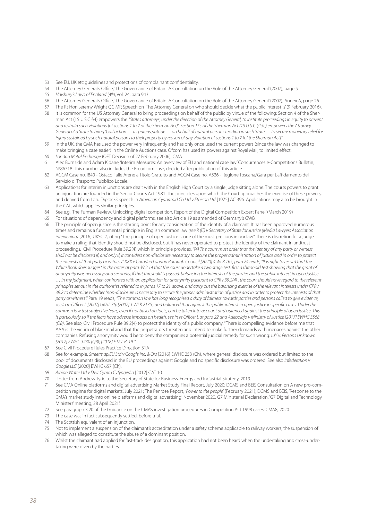- 53 See EU, UK etc guidelines and protections of complainant confidentiality.
- 54 The Attorney General's Office, 'The Governance of Britain: A Consultation on the Role of the Attorney General' (2007), page 5.
- *55 Halsbury's Laws of England* (4th), Vol. 24, para 943.
- 56 The Attorney General's Office, 'The Governance of Britain: A Consultation on the Role of the Attorney General' (2007), Annex A, page 26.
- 57 The Rt Hon Jeremy Wright QC MP, Speech on 'The Attorney General on who should decide what the public interest is' (9 February 2016).
- 58 It is common for the US Attorney General to bring proceedings on behalf of the public by virtue of the following: Section 4 of the Sherman Act (15 U.S.C §4) empowers the *"States attorneys, under the direction of the Attorney General, to institute proceedings in equity to prevent and restrain such violations [of sections 1 to 7 of the Sherman Act]". Section 15c of the Sherman Act (15 U.S.C §15c) empowers the Attorney General of a State to bring "civil action … as parens patriae … on behalf of natural persons residing in such State … to secure monetary relief for injury sustained by such natural persons to their property by reason of any violation of sections 1 to 7 [of the Sherman Act]".*
- 59 In the UK, the CMA has used the power very infrequently and has only once used the current powers (since the law was changed to make bringing a case easier) in the Online Auctions case. Ofcom has used its powers against Royal Mail, to limited effect.
- *60 London Metal Exchange* (OFT Decision of 27 February 2006); CMA
- 61 Alec Burnside and Adam Kidane, 'Interim Measures: An overview of EU and national case law' Concurrences e-Competitions Bulletin, N°86718. This number also includes the Broadcom case, decided after publication of this article.
- 62 AGCM Case no. I840 Ostacoli alle Arene a Titolo Gratuito and AGCM Case no. A536 Regione Toscana/Gara per L'affidamento del Servizio di Trasporto Pubblico Locale.
- 63 Applications for interim injunctions are dealt with in the English High Court by a single judge sitting alone. The courts powers to grant an injunction are founded in the Senior Courts Act 1981. The principles upon which the Court approaches the exercise of these powers, and derived from Lord Diplock's speech in *American Cyanamid Co Ltd v Ethicon Ltd* [1975] AC 396. Applications may also be brought in the CAT, which applies similar principles.
- 64 See e.g., The Furman Review, 'Unlocking digital competition, Report of the Digital Competition Expert Panel' (March 2019)
- 65 For situations of dependency and digital platforms, see also Article 19 as amended of Germany's GWB.
- 66 The principle of open justice is the starting point for any consideration of the identity of a claimant. It has been approved numerous times and remains a fundamental principle in English common law *(see R (C) v Secretary of State for Justice (Media Lawyers Association intervening)* [2016] UKSC 2, citing "The principle of open justice is one of the most precious in our law". There is discretion for a judge to make a ruling that identity should not be disclosed, but it has never operated to protect the identity of the claimant in antitrust proceedings. Civil Procedure Rule 39.2(4) which in principle provides, *"(4) The court must order that the identity of any party or witness shall not be disclosed if, and only if, it considers non-disclosure necessary to secure the proper administration of justice and in order to protect the interests of that party or witness." XXX v Camden London Borough Council [2020] 4 WLR 165, para 24 reads, "It is right to record that the*  White Book does suggest in the notes at para 39.2.14 that the court undertake a two stage test: first a threshold test showing that the grant of *anonymity was necessary; and secondly, if that threshold is passed, balancing the interests of the parties and the public interest in open justice … In my judgment, when confronted with an application for anonymity pursuant to CPR r 39.2(4) , the court should have regard to the relevant principles set out in the authorities referred to in paras 17 to 21 above, and carry out the balancing exercise of the relevant interests under CPR r 39.2 to determine whether "non-disclosure is necessary to secure the proper administration of justice and in order to protect the interests of that party or witness"."* Para 19 reads, *"The common law has long recognised a duty of fairness towards parties and persons called to give evidence,*  see In re Officer L [2007] UKHL 36; [2007] 1 WLR 2135, and balanced that against the public interest in open justice in specific cases. Under the *common law test subjective fears, even if not based on facts, can be taken into account and balanced against the principle of open justice. This is particularly so if the fears have adverse impacts on health, see In re Officer L at para 22 and Adebolajo v Ministry of Justice [2017] EWHC 3568 (QB)*. See also, Civil Procedure Rule 39.2(4) to protect the identity of a public company. "There is compelling evidence before me that AAA is the victim of blackmail and that the perpetrators threaten and intend to make further demands with menaces against the other companies. Refusing anonymity would be to deny the companies a potential judicial remedy for such wrong: *LJY v. Persons Unknown [2017] EWHC 3230 (QB); [2018] E.M.L.R. 19 ."*
- 67 See Civil Procedure Rules Practice Direction 31A
- 68 See for example, *Streetmap.EU Ltd v Google Inc. & Ors* [2016] EWHC 253 (Ch), where general disclosure was ordered but limited to the pool of documents disclosed in the EU proceedings against Google and no specific disclosure was ordered. See also *Infederation v Google LLC* [2020] EWHC 657 (Ch).
- *69 Albion Water Ltd v Dwr Cymru Cyfyngedig* [2012] CAT 10.
- 70 Letter from Andrew Tyrie to the Secretary of State for Business, Energy and Industrial Strategy, 2019.
- 71 See CMA Online platforms and digital advertising Market Study Final Report, July 2020; DCMS and BEIS Consultation on 'A new pro-competition regime for digital markets', July 2021; The Penrose Report, *'Power to the people'* (February 2021); DCMS and BEIS, 'Response to the CMA's market study into online platforms and digital advertising', November 2020. G7 Ministerial Declaration, 'G7 Digital and Technology Ministers' meeting, 28 April 2021'.
- 72 See paragraph 3.20 of the Guidance on the CMA's investigation procedures in Competition Act 1998 cases: CMA8, 2020.
- 73 The case was in fact subsequently settled, before trial.
- 74 The Scottish equivalent of an injunction.
- 75 Not to implement a suspension of the claimant's accreditation under a safety scheme applicable to railway workers, the suspension of which was alleged to constitute the abuse of a dominant position.
- 76 Whilst the claimant had applied for fast-track designation, this application had not been heard when the undertaking and cross-undertaking were given by the parties.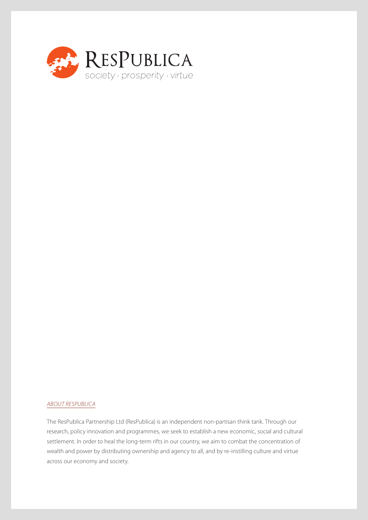

#### *ABOUT RESPUBLICA*

The ResPublica Partnership Ltd (ResPublica) is an independent non-partisan think tank. Through our research, policy innovation and programmes, we seek to establish a new economic, social and cultural settlement. In order to heal the long-term rifts in our country, we aim to combat the concentration of wealth and power by distributing ownership and agency to all, and by re-instilling culture and virtue across our economy and society.